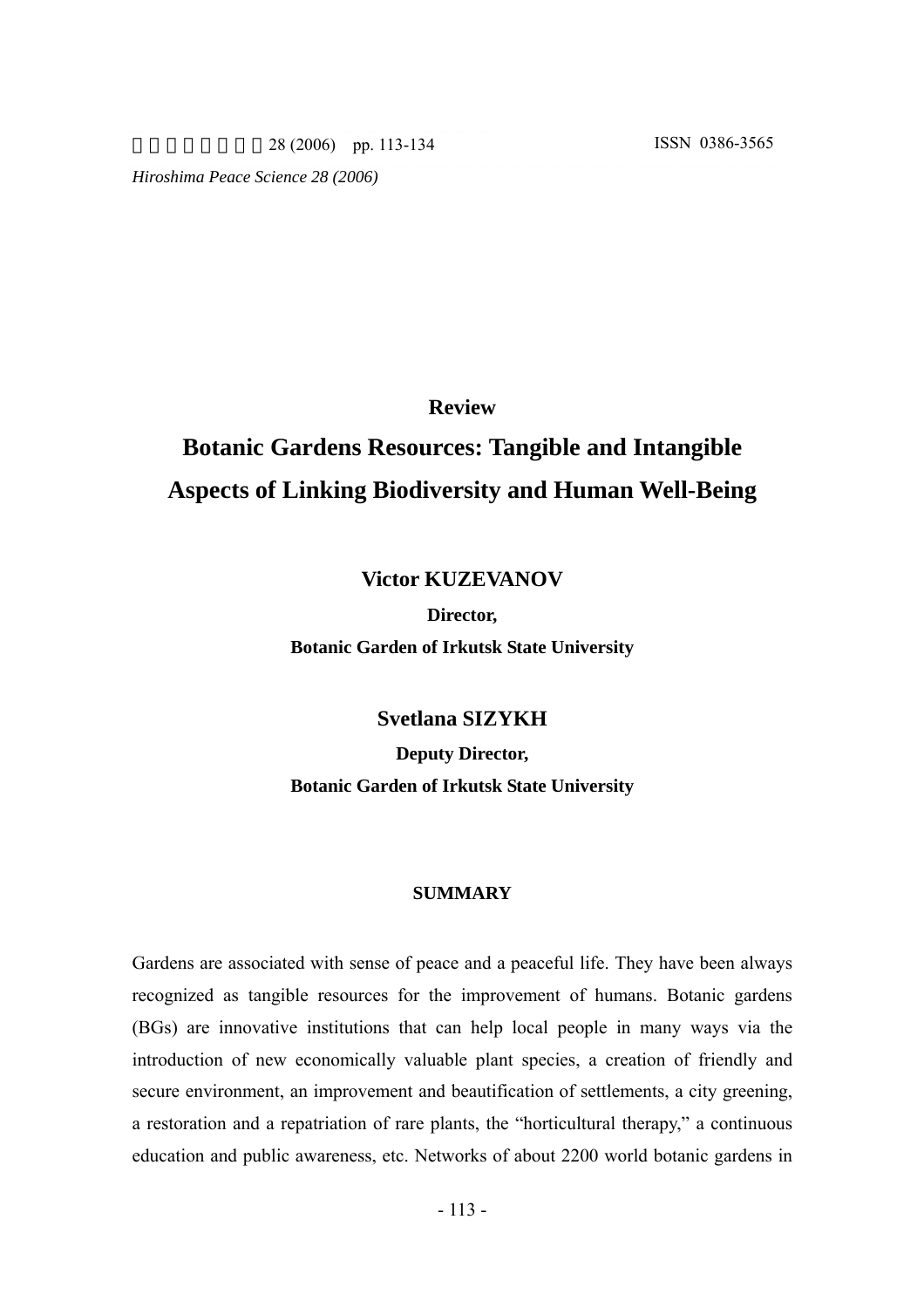28 (2006) pp. 113-134 ISSN 0386-3565

*Hiroshima Peace Science 28 (2006)* 

**Review**

# **Botanic Gardens Resources: Tangible and Intangible Aspects of Linking Biodiversity and Human Well-Being**

## **Victor KUZEVANOV**

## **Director, Botanic Garden of Irkutsk State University**

**Svetlana SIZYKH** 

**Deputy Director, Botanic Garden of Irkutsk State University**

## **SUMMARY**

Gardens are associated with sense of peace and a peaceful life. They have been always recognized as tangible resources for the improvement of humans. Botanic gardens (BGs) are innovative institutions that can help local people in many ways via the introduction of new economically valuable plant species, a creation of friendly and secure environment, an improvement and beautification of settlements, a city greening, a restoration and a repatriation of rare plants, the "horticultural therapy," a continuous education and public awareness, etc. Networks of about 2200 world botanic gardens in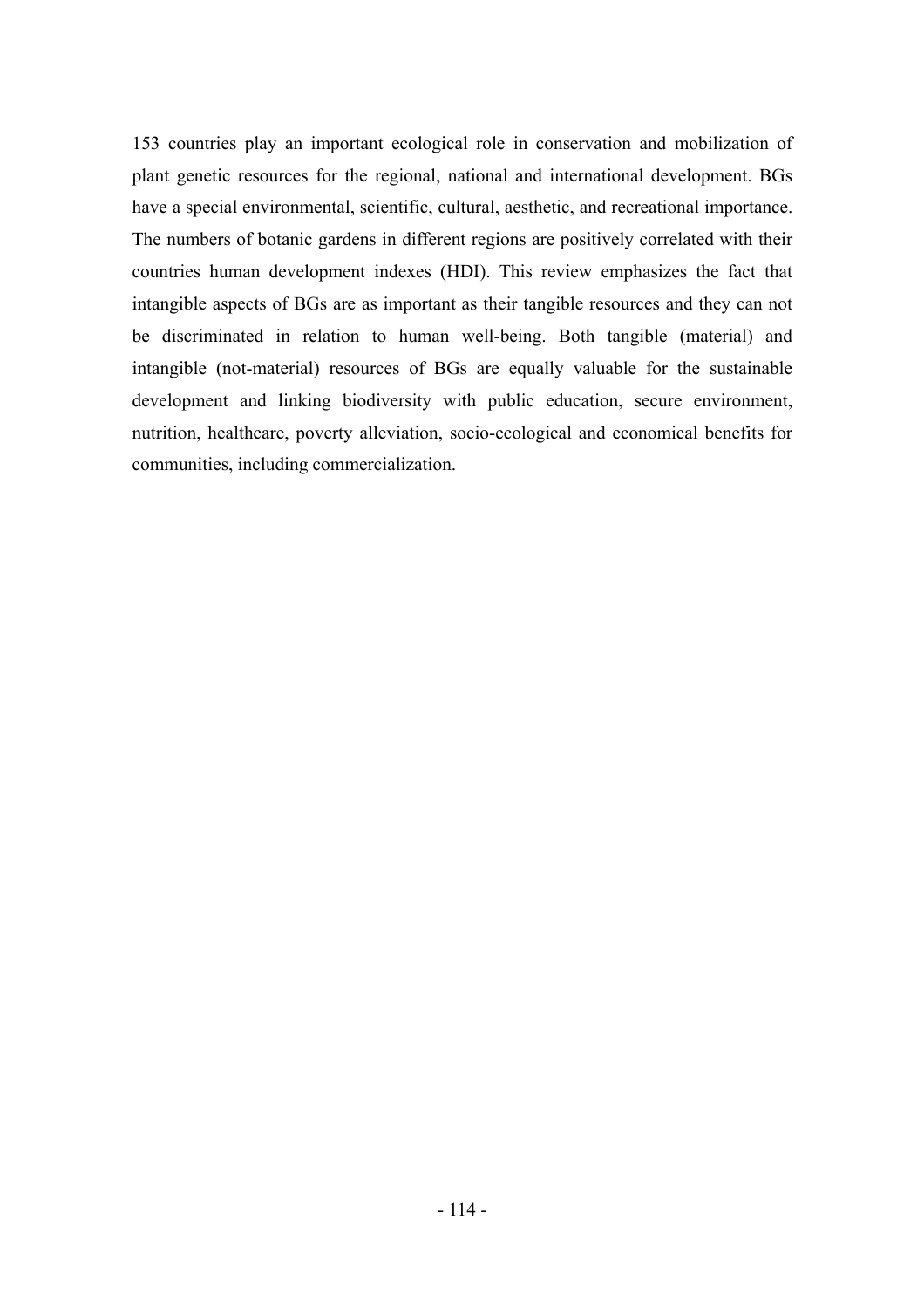153 countries play an important ecological role in conservation and mobilization of plant genetic resources for the regional, national and international development. BGs have a special environmental, scientific, cultural, aesthetic, and recreational importance. The numbers of botanic gardens in different regions are positively correlated with their countries human development indexes (HDI). This review emphasizes the fact that intangible aspects of BGs are as important as their tangible resources and they can not be discriminated in relation to human well-being. Both tangible (material) and intangible (not-material) resources of BGs are equally valuable for the sustainable development and linking biodiversity with public education, secure environment, nutrition, healthcare, poverty alleviation, socio-ecological and economical benefits for communities, including commercialization.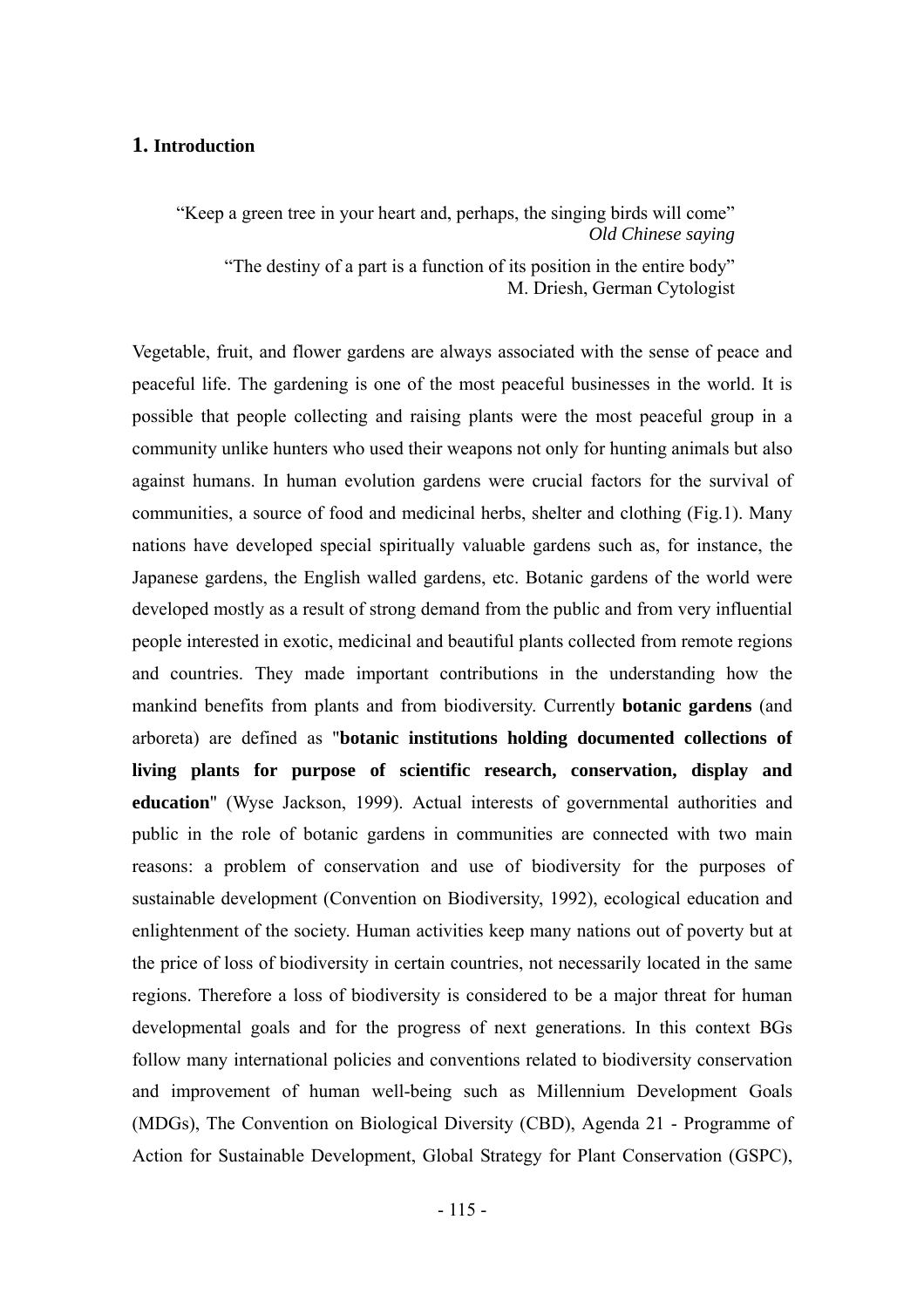## **1. Introduction**

"Keep a green tree in your heart and, perhaps, the singing birds will come" *Old Chinese saying*

"The destiny of a part is a function of its position in the entire body" M. Driesh, German Cytologist

Vegetable, fruit, and flower gardens are always associated with the sense of peace and peaceful life. The gardening is one of the most peaceful businesses in the world. It is possible that people collecting and raising plants were the most peaceful group in a community unlike hunters who used their weapons not only for hunting animals but also against humans. In human evolution gardens were crucial factors for the survival of communities, a source of food and medicinal herbs, shelter and clothing (Fig.1). Many nations have developed special spiritually valuable gardens such as, for instance, the Japanese gardens, the English walled gardens, etc. Botanic gardens of the world were developed mostly as a result of strong demand from the public and from very influential people interested in exotic, medicinal and beautiful plants collected from remote regions and countries. They made important contributions in the understanding how the mankind benefits from plants and from biodiversity. Currently **botanic gardens** (and arboreta) are defined as "**botanic institutions holding documented collections of living plants for purpose of scientific research, conservation, display and education**" (Wyse Jackson, 1999). Actual interests of governmental authorities and public in the role of botanic gardens in communities are connected with two main reasons: a problem of conservation and use of biodiversity for the purposes of sustainable development (Convention on Biodiversity, 1992), ecological education and enlightenment of the society. Human activities keep many nations out of poverty but at the price of loss of biodiversity in certain countries, not necessarily located in the same regions. Therefore a loss of biodiversity is considered to be a major threat for human developmental goals and for the progress of next generations. In this context BGs follow many international policies and conventions related to biodiversity conservation and improvement of human well-being such as Millennium Development Goals (MDGs), The Convention on Biological Diversity (CBD), Agenda 21 - Programme of Action for Sustainable Development, Global Strategy for Plant Conservation (GSPC),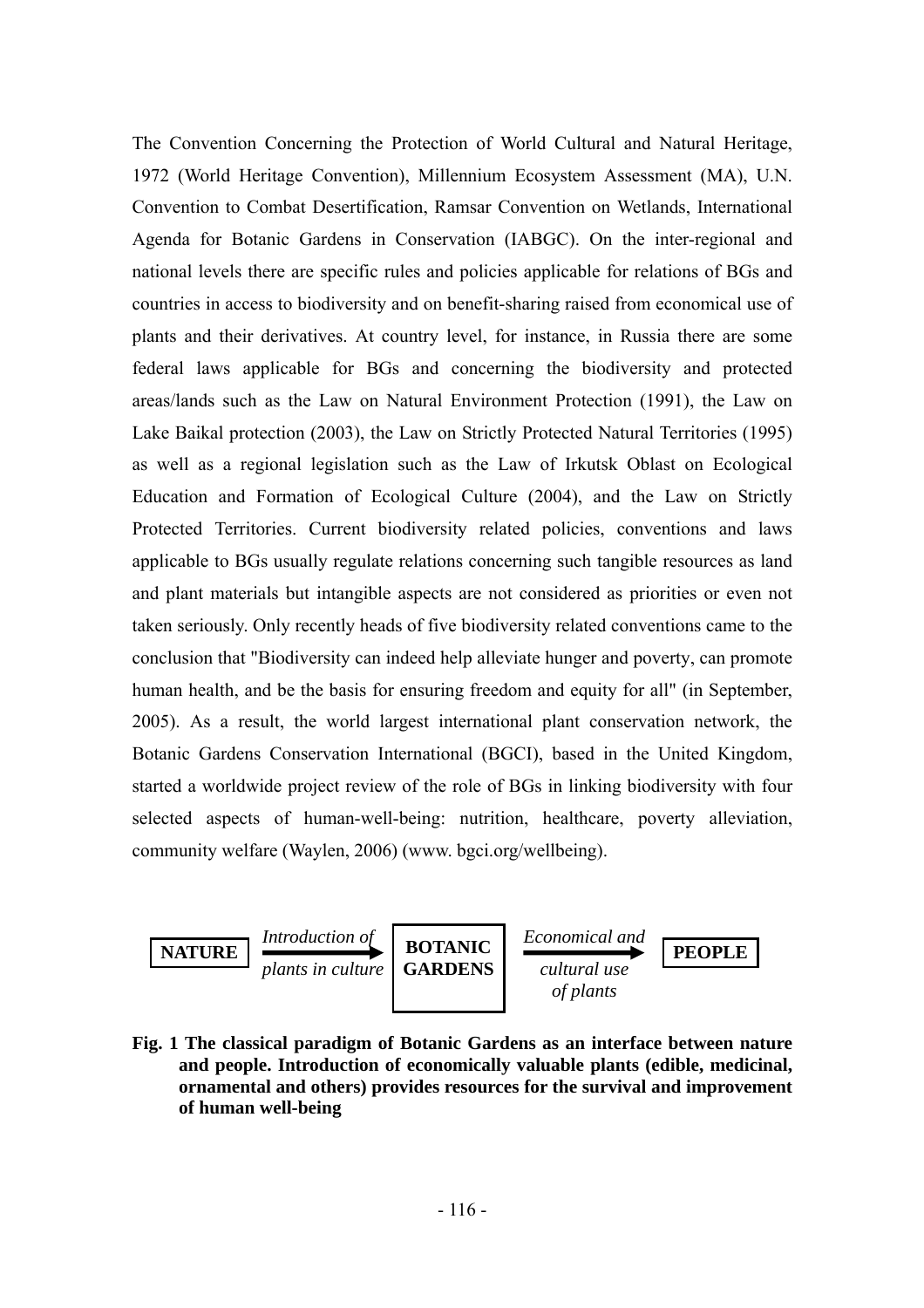The Convention Concerning the Protection of World Cultural and Natural Heritage, 1972 (World Heritage Convention), Millennium Ecosystem Assessment (MA), U.N. Convention to Combat Desertification, Ramsar Convention on Wetlands, International Agenda for Botanic Gardens in Conservation (IABGC). On the inter-regional and national levels there are specific rules and policies applicable for relations of BGs and countries in access to biodiversity and on benefit-sharing raised from economical use of plants and their derivatives. At country level, for instance, in Russia there are some federal laws applicable for BGs and concerning the biodiversity and protected areas/lands such as the Law on Natural Environment Protection (1991), the Law on Lake Baikal protection (2003), the Law on Strictly Protected Natural Territories (1995) as well as a regional legislation such as the Law of Irkutsk Oblast on Ecological Education and Formation of Ecological Culture (2004), and the Law on Strictly Protected Territories. Current biodiversity related policies, conventions and laws applicable to BGs usually regulate relations concerning such tangible resources as land and plant materials but intangible aspects are not considered as priorities or even not taken seriously. Only recently heads of five biodiversity related conventions came to the conclusion that "Biodiversity can indeed help alleviate hunger and poverty, can promote human health, and be the basis for ensuring freedom and equity for all" (in September, 2005). As a result, the world largest international plant conservation network, the Botanic Gardens Conservation International (BGCI), based in the United Kingdom, started a worldwide project review of the role of BGs in linking biodiversity with four selected aspects of human-well-being: nutrition, healthcare, poverty alleviation, community welfare (Waylen, 2006) (www. bgci.org/wellbeing).



**Fig. 1 The classical paradigm of Botanic Gardens as an interface between nature and people. Introduction of economically valuable plants (edible, medicinal, ornamental and others) provides resources for the survival and improvement of human well-being**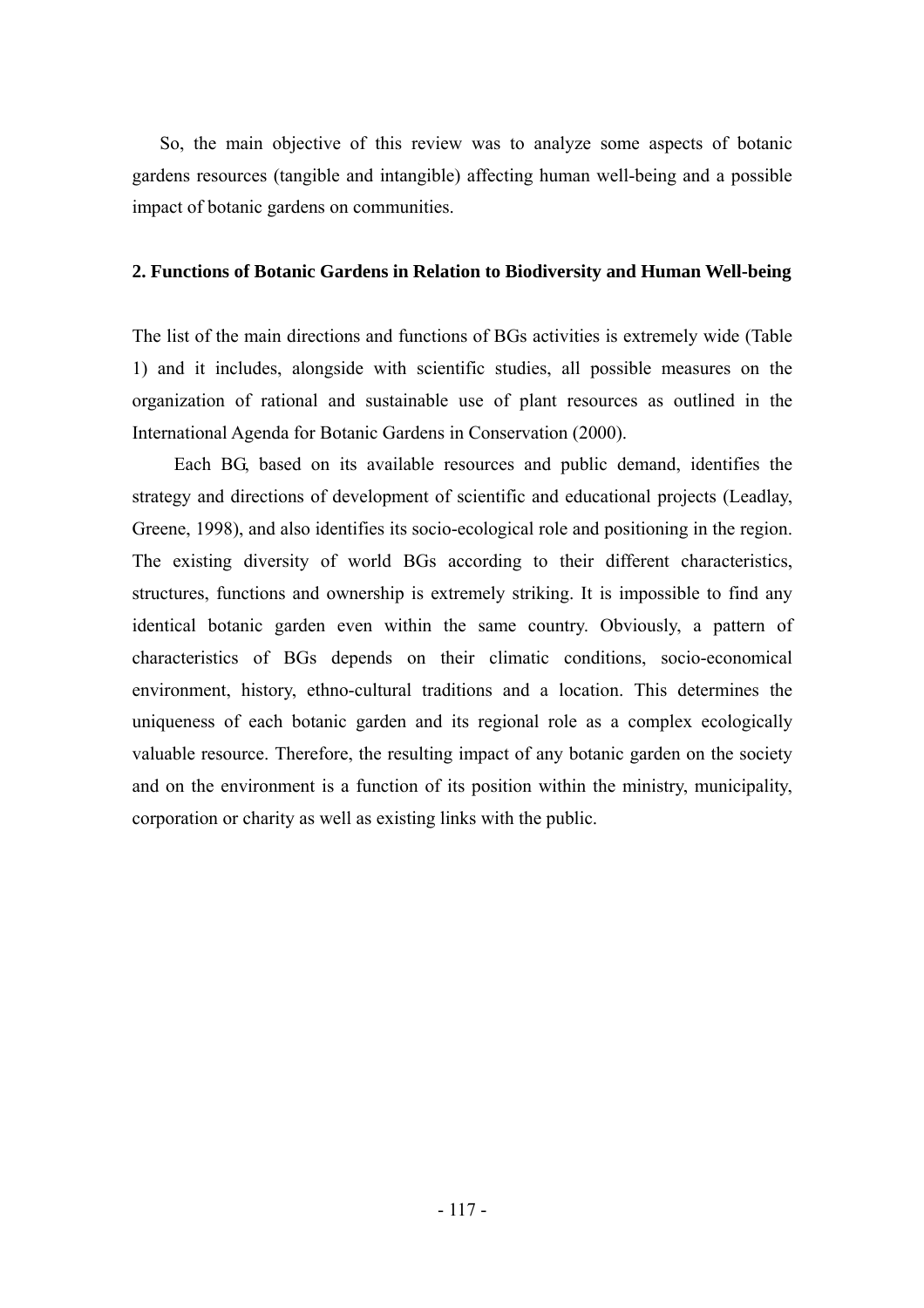So, the main objective of this review was to analyze some aspects of botanic gardens resources (tangible and intangible) affecting human well-being and a possible impact of botanic gardens on communities.

## **2. Functions of Botanic Gardens in Relation to Biodiversity and Human Well-being**

The list of the main directions and functions of BGs activities is extremely wide (Table 1) and it includes, alongside with scientific studies, all possible measures on the organization of rational and sustainable use of plant resources as outlined in the International Agenda for Botanic Gardens in Conservation (2000).

Each BG, based on its available resources and public demand, identifies the strategy and directions of development of scientific and educational projects (Leadlay, Greene, 1998), and also identifies its socio-ecological role and positioning in the region. The existing diversity of world BGs according to their different characteristics, structures, functions and ownership is extremely striking. It is impossible to find any identical botanic garden even within the same country. Obviously, a pattern of characteristics of BGs depends on their climatic conditions, socio-economical environment, history, ethno-cultural traditions and a location. This determines the uniqueness of each botanic garden and its regional role as a complex ecologically valuable resource. Therefore, the resulting impact of any botanic garden on the society and on the environment is a function of its position within the ministry, municipality, corporation or charity as well as existing links with the public.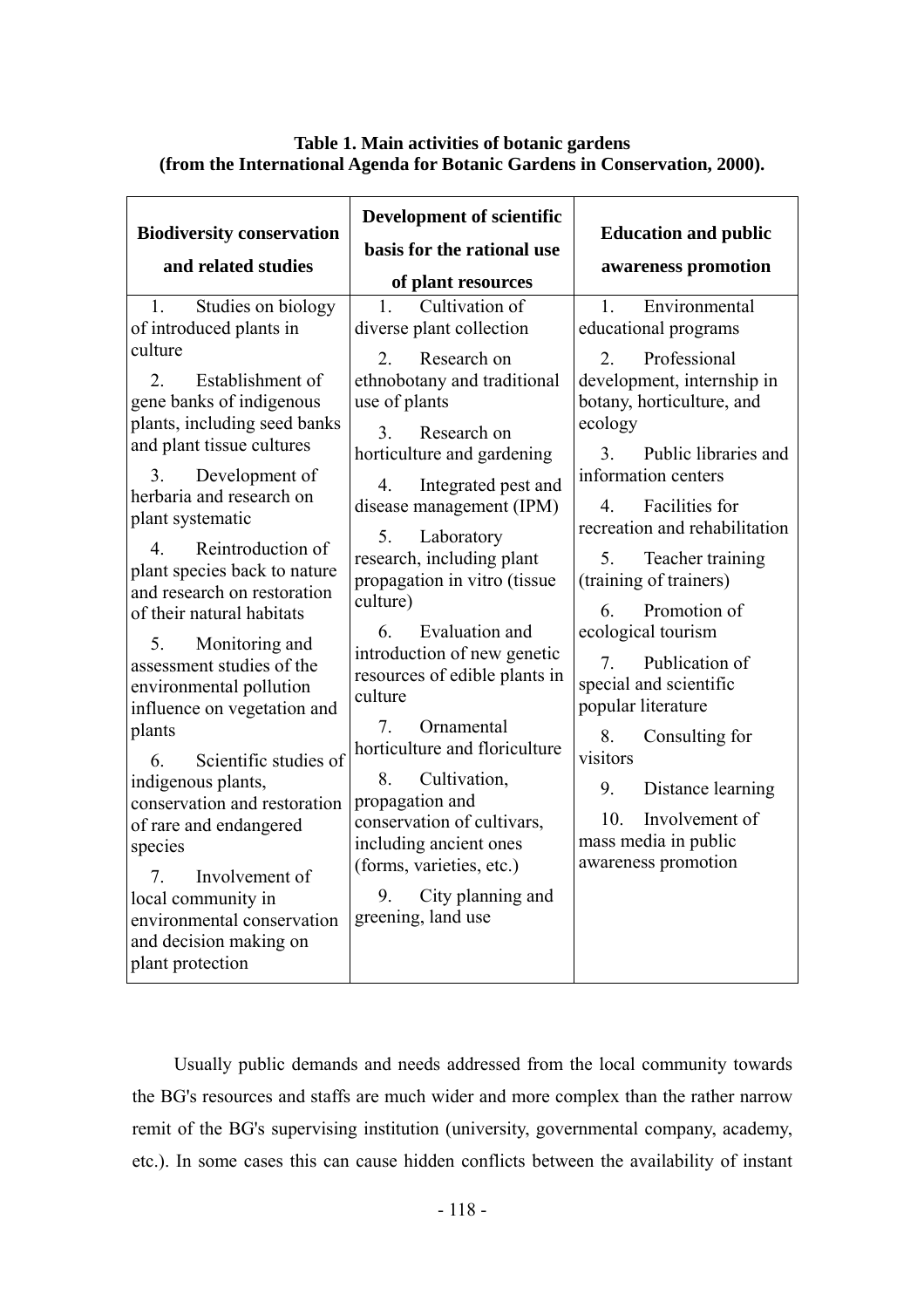## **Table 1. Main activities of botanic gardens (from the International Agenda for Botanic Gardens in Conservation, 2000).**

| <b>Biodiversity conservation</b><br>and related studies                                                                                                                                                                                                                                                                                                                                                                                                                                                                                                                                                                                                                                                                                          | <b>Development of scientific</b><br>basis for the rational use<br>of plant resources                                                                                                                                                                                                                                                                                                                                                                                                                                                                                                                                                                                                             | <b>Education and public</b><br>awareness promotion                                                                                                                                                                                                                                                                                                                                                                                                                                                                                                                                                 |
|--------------------------------------------------------------------------------------------------------------------------------------------------------------------------------------------------------------------------------------------------------------------------------------------------------------------------------------------------------------------------------------------------------------------------------------------------------------------------------------------------------------------------------------------------------------------------------------------------------------------------------------------------------------------------------------------------------------------------------------------------|--------------------------------------------------------------------------------------------------------------------------------------------------------------------------------------------------------------------------------------------------------------------------------------------------------------------------------------------------------------------------------------------------------------------------------------------------------------------------------------------------------------------------------------------------------------------------------------------------------------------------------------------------------------------------------------------------|----------------------------------------------------------------------------------------------------------------------------------------------------------------------------------------------------------------------------------------------------------------------------------------------------------------------------------------------------------------------------------------------------------------------------------------------------------------------------------------------------------------------------------------------------------------------------------------------------|
| Studies on biology<br>1.<br>of introduced plants in<br>culture<br>Establishment of<br>$2^{\circ}$<br>gene banks of indigenous<br>plants, including seed banks<br>and plant tissue cultures<br>3.<br>Development of<br>herbaria and research on<br>plant systematic<br>Reintroduction of<br>4<br>plant species back to nature<br>and research on restoration<br>of their natural habitats<br>5.<br>Monitoring and<br>assessment studies of the<br>environmental pollution<br>influence on vegetation and<br>plants<br>Scientific studies of<br>6<br>indigenous plants,<br>conservation and restoration<br>of rare and endangered<br>species<br>Involvement of<br>7.<br>local community in<br>environmental conservation<br>and decision making on | Cultivation of<br>$\mathbf{1}$<br>diverse plant collection<br>Research on<br>$2^{\circ}$<br>ethnobotany and traditional<br>use of plants<br>3 <sub>1</sub><br>Research on<br>horticulture and gardening<br>Integrated pest and<br>4<br>disease management (IPM)<br>5.<br>Laboratory<br>research, including plant<br>propagation in vitro (tissue<br>culture)<br>Evaluation and<br>6<br>introduction of new genetic<br>resources of edible plants in<br>culture<br>Ornamental<br>7<br>horticulture and floriculture<br>Cultivation,<br>8.<br>propagation and<br>conservation of cultivars,<br>including ancient ones<br>(forms, varieties, etc.)<br>9.<br>City planning and<br>greening, land use | Environmental<br>$\mathbf{1}$ .<br>educational programs<br>Professional<br>$2^{\circ}$<br>development, internship in<br>botany, horticulture, and<br>ecology<br>Public libraries and<br>3<br>information centers<br>Facilities for<br>4<br>recreation and rehabilitation<br>5.<br>Teacher training<br>(training of trainers)<br>Promotion of<br>6<br>ecological tourism<br>Publication of<br>7.<br>special and scientific<br>popular literature<br>Consulting for<br>8.<br>visitors<br>9.<br>Distance learning<br>10 <sub>l</sub><br>Involvement of<br>mass media in public<br>awareness promotion |
| plant protection                                                                                                                                                                                                                                                                                                                                                                                                                                                                                                                                                                                                                                                                                                                                 |                                                                                                                                                                                                                                                                                                                                                                                                                                                                                                                                                                                                                                                                                                  |                                                                                                                                                                                                                                                                                                                                                                                                                                                                                                                                                                                                    |

Usually public demands and needs addressed from the local community towards the BG's resources and staffs are much wider and more complex than the rather narrow remit of the BG's supervising institution (university, governmental company, academy, etc.). In some cases this can cause hidden conflicts between the availability of instant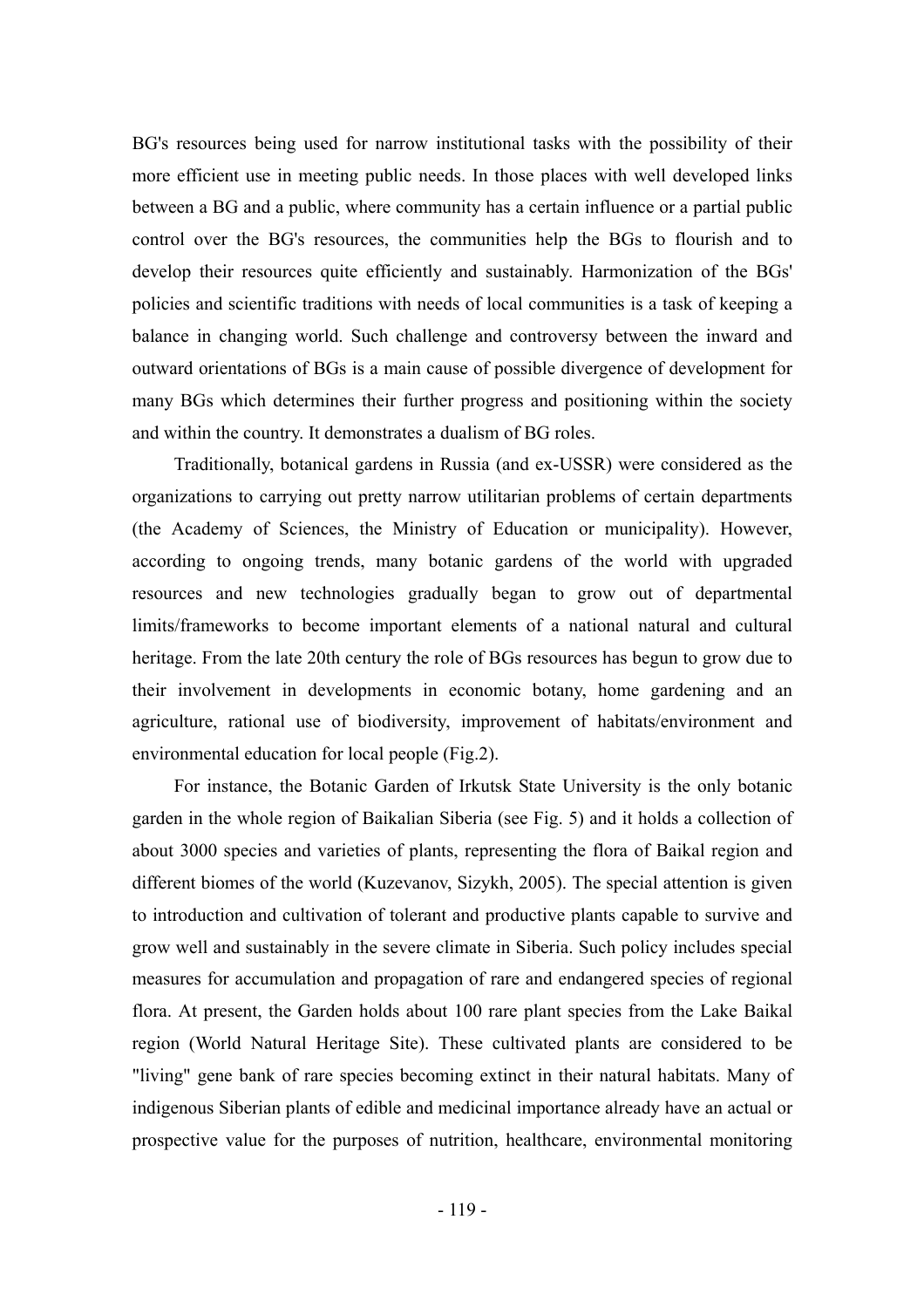BG's resources being used for narrow institutional tasks with the possibility of their more efficient use in meeting public needs. In those places with well developed links between a BG and a public, where community has a certain influence or a partial public control over the BG's resources, the communities help the BGs to flourish and to develop their resources quite efficiently and sustainably. Harmonization of the BGs' policies and scientific traditions with needs of local communities is a task of keeping a balance in changing world. Such challenge and controversy between the inward and outward orientations of BGs is a main cause of possible divergence of development for many BGs which determines their further progress and positioning within the society and within the country. It demonstrates a dualism of BG roles.

Traditionally, botanical gardens in Russia (and ex-USSR) were considered as the organizations to carrying out pretty narrow utilitarian problems of certain departments (the Academy of Sciences, the Ministry of Education or municipality). However, according to ongoing trends, many botanic gardens of the world with upgraded resources and new technologies gradually began to grow out of departmental limits/frameworks to become important elements of a national natural and cultural heritage. From the late 20th century the role of BGs resources has begun to grow due to their involvement in developments in economic botany, home gardening and an agriculture, rational use of biodiversity, improvement of habitats/environment and environmental education for local people (Fig.2).

For instance, the Botanic Garden of Irkutsk State University is the only botanic garden in the whole region of Baikalian Siberia (see Fig. 5) and it holds a collection of about 3000 species and varieties of plants, representing the flora of Baikal region and different biomes of the world (Kuzevanov, Sizykh, 2005). The special attention is given to introduction and cultivation of tolerant and productive plants capable to survive and grow well and sustainably in the severe climate in Siberia. Such policy includes special measures for accumulation and propagation of rare and endangered species of regional flora. At present, the Garden holds about 100 rare plant species from the Lake Baikal region (World Natural Heritage Site). These cultivated plants are considered to be "living" gene bank of rare species becoming extinct in their natural habitats. Many of indigenous Siberian plants of edible and medicinal importance already have an actual or prospective value for the purposes of nutrition, healthcare, environmental monitoring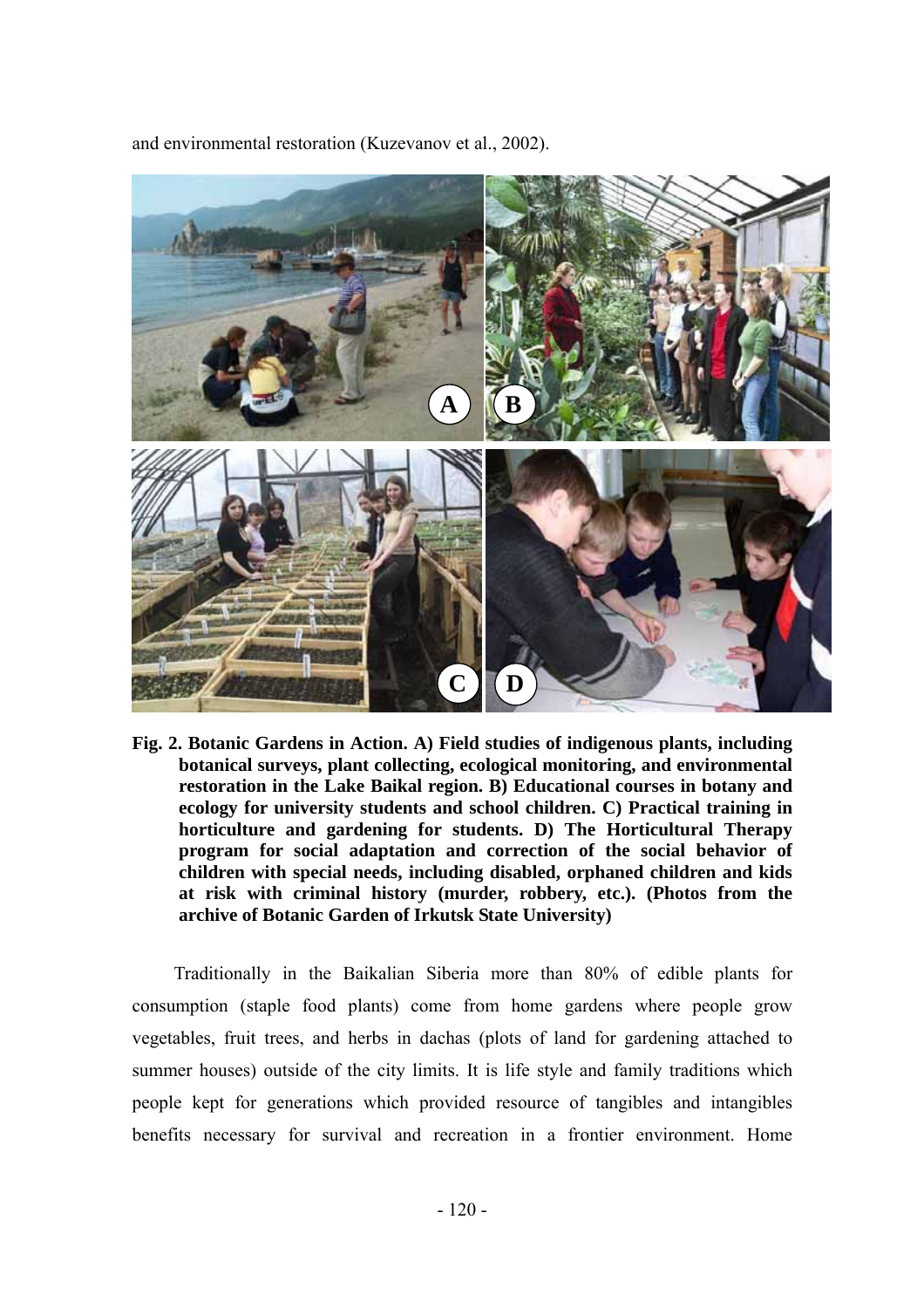and environmental restoration (Kuzevanov et al., 2002).



**Fig. 2. Botanic Gardens in Action. A) Field studies of indigenous plants, including botanical surveys, plant collecting, ecological monitoring, and environmental restoration in the Lake Baikal region. B) Educational courses in botany and ecology for university students and school children. C) Practical training in horticulture and gardening for students. D) The Horticultural Therapy program for social adaptation and correction of the social behavior of children with special needs, including disabled, orphaned children and kids at risk with criminal history (murder, robbery, etc.). (Photos from the archive of Botanic Garden of Irkutsk State University)** 

Traditionally in the Baikalian Siberia more than 80% of edible plants for consumption (staple food plants) come from home gardens where people grow vegetables, fruit trees, and herbs in dachas (plots of land for gardening attached to summer houses) outside of the city limits. It is life style and family traditions which people kept for generations which provided resource of tangibles and intangibles benefits necessary for survival and recreation in a frontier environment. Home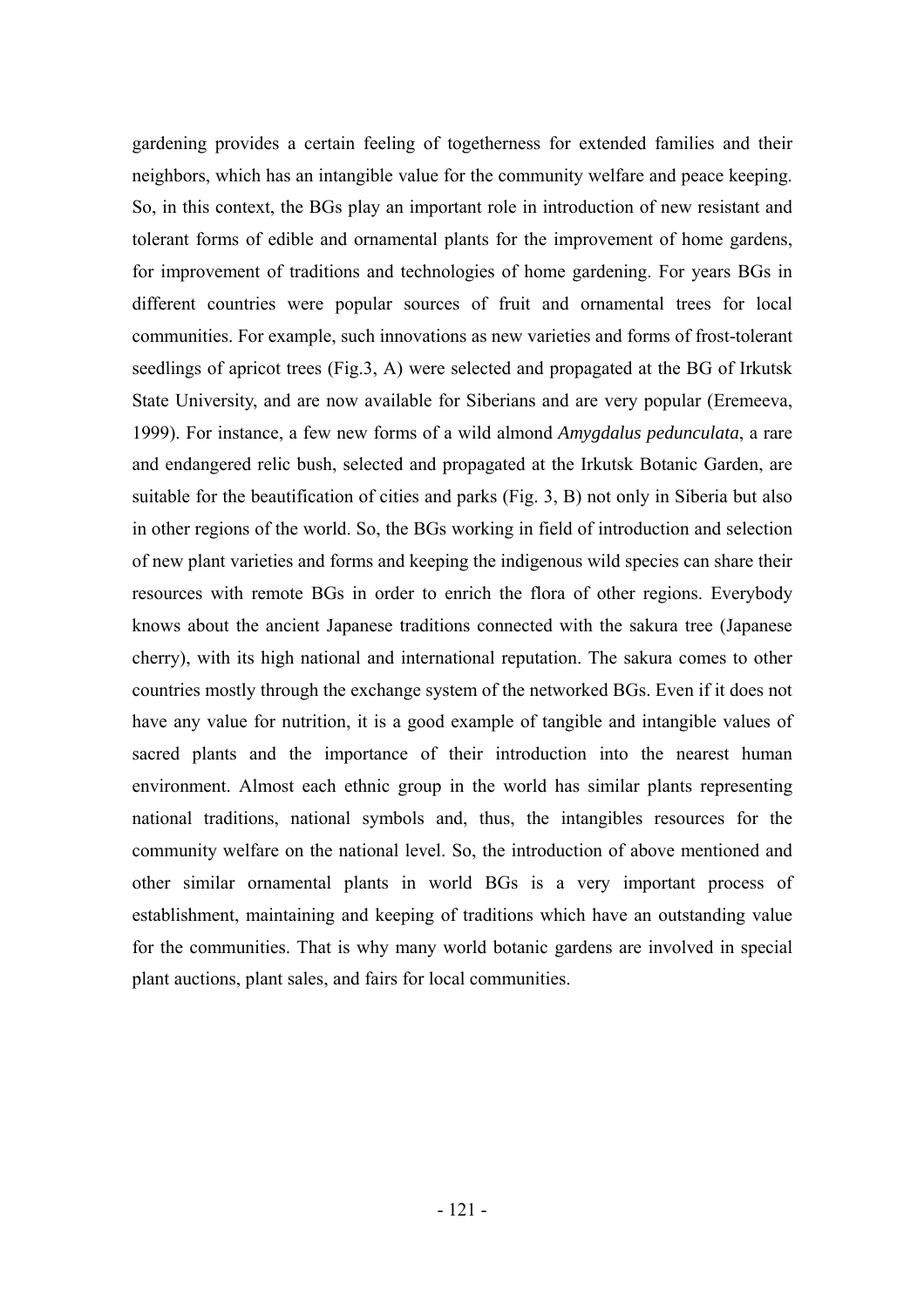gardening provides a certain feeling of togetherness for extended families and their neighbors, which has an intangible value for the community welfare and peace keeping. So, in this context, the BGs play an important role in introduction of new resistant and tolerant forms of edible and ornamental plants for the improvement of home gardens, for improvement of traditions and technologies of home gardening. For years BGs in different countries were popular sources of fruit and ornamental trees for local communities. For example, such innovations as new varieties and forms of frost-tolerant seedlings of apricot trees (Fig.3, A) were selected and propagated at the BG of Irkutsk State University, and are now available for Siberians and are very popular (Eremeeva, 1999). For instance, a few new forms of a wild almond *Amygdalus pedunculata*, a rare and endangered relic bush, selected and propagated at the Irkutsk Botanic Garden, are suitable for the beautification of cities and parks (Fig. 3, B) not only in Siberia but also in other regions of the world. So, the BGs working in field of introduction and selection of new plant varieties and forms and keeping the indigenous wild species can share their resources with remote BGs in order to enrich the flora of other regions. Everybody knows about the ancient Japanese traditions connected with the sakura tree (Japanese cherry), with its high national and international reputation. The sakura comes to other countries mostly through the exchange system of the networked BGs. Even if it does not have any value for nutrition, it is a good example of tangible and intangible values of sacred plants and the importance of their introduction into the nearest human environment. Almost each ethnic group in the world has similar plants representing national traditions, national symbols and, thus, the intangibles resources for the community welfare on the national level. So, the introduction of above mentioned and other similar ornamental plants in world BGs is a very important process of establishment, maintaining and keeping of traditions which have an outstanding value for the communities. That is why many world botanic gardens are involved in special plant auctions, plant sales, and fairs for local communities.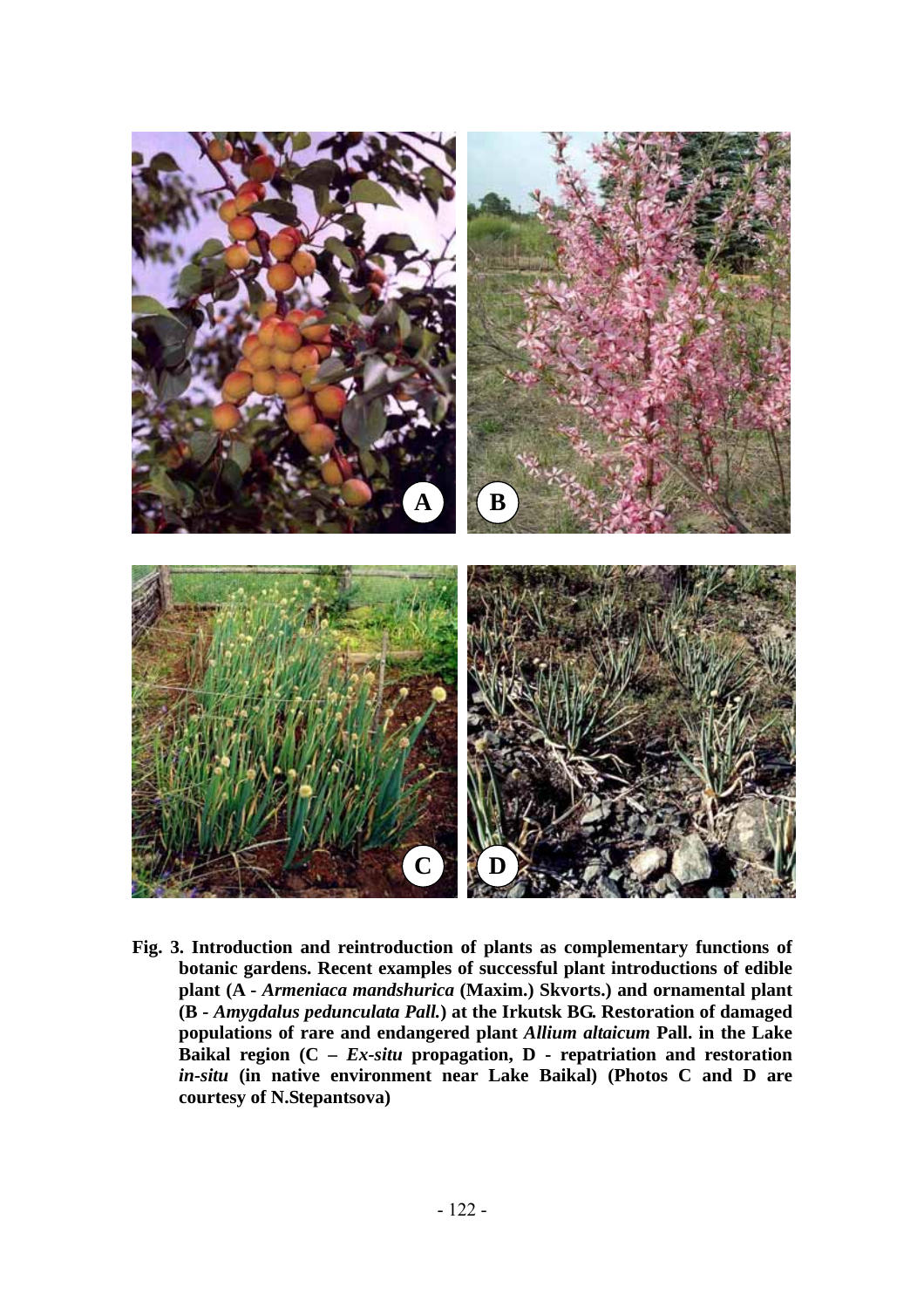

**Fig. 3. Introduction and reintroduction of plants as complementary functions of botanic gardens. Recent examples of successful plant introductions of edible plant (A -** *Armeniaca mandshurica* **(Maxim.) Skvorts.) and ornamental plant (B -** *Amygdalus pedunculata Pall.***) at the Irkutsk BG. Restoration of damaged populations of rare and endangered plant** *Allium altaicum* **Pall. in the Lake Baikal region (C –** *Ex-situ* **propagation, D - repatriation and restoration**  *in-situ* **(in native environment near Lake Baikal) (Photos C and D are courtesy of N.Stepantsova)**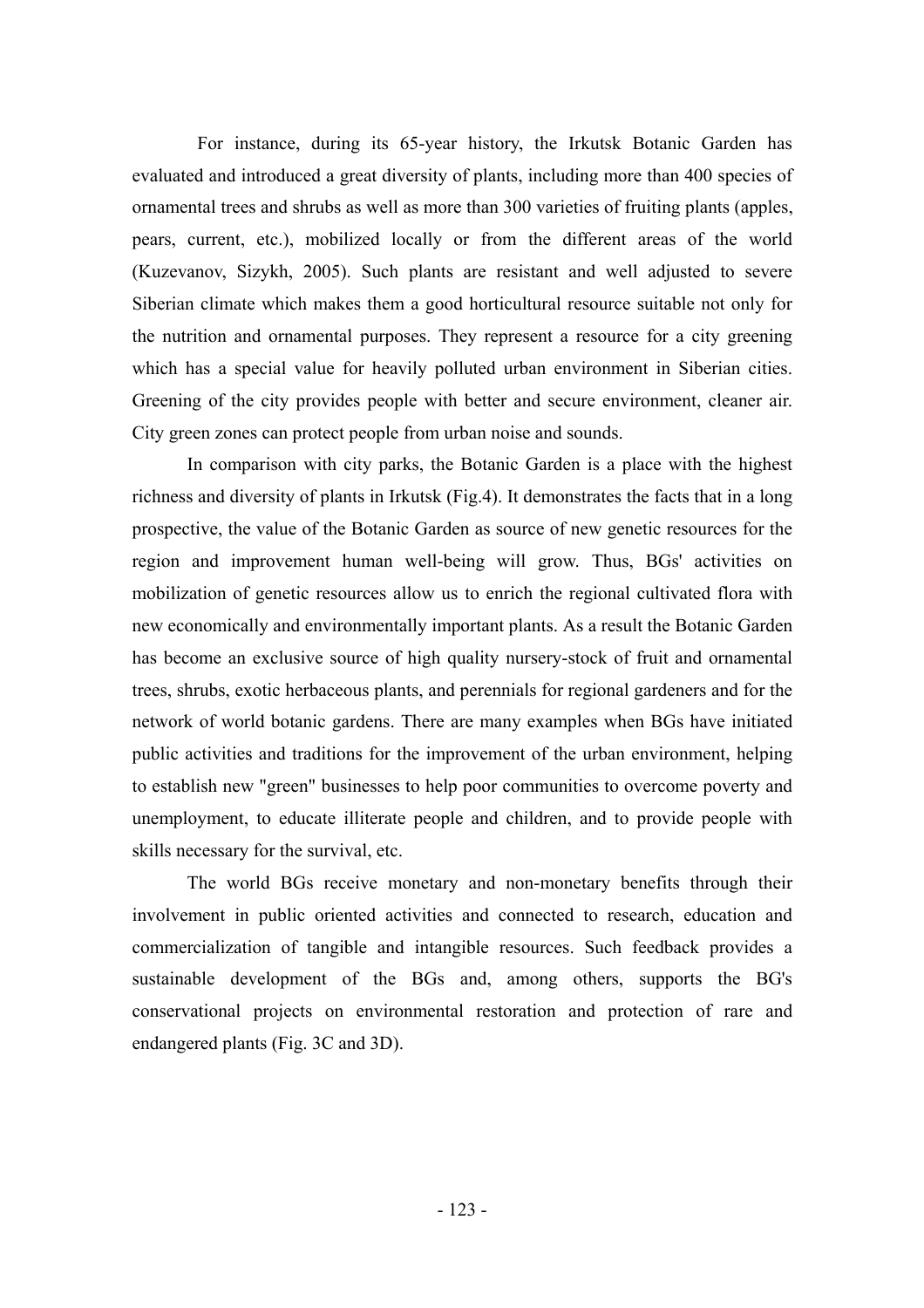For instance, during its 65-year history, the Irkutsk Botanic Garden has evaluated and introduced a great diversity of plants, including more than 400 species of ornamental trees and shrubs as well as more than 300 varieties of fruiting plants (apples, pears, current, etc.), mobilized locally or from the different areas of the world (Kuzevanov, Sizykh, 2005). Such plants are resistant and well adjusted to severe Siberian climate which makes them a good horticultural resource suitable not only for the nutrition and ornamental purposes. They represent a resource for a city greening which has a special value for heavily polluted urban environment in Siberian cities. Greening of the city provides people with better and secure environment, cleaner air. City green zones can protect people from urban noise and sounds.

In comparison with city parks, the Botanic Garden is a place with the highest richness and diversity of plants in Irkutsk (Fig.4). It demonstrates the facts that in a long prospective, the value of the Botanic Garden as source of new genetic resources for the region and improvement human well-being will grow. Thus, BGs' activities on mobilization of genetic resources allow us to enrich the regional cultivated flora with new economically and environmentally important plants. As a result the Botanic Garden has become an exclusive source of high quality nursery-stock of fruit and ornamental trees, shrubs, exotic herbaceous plants, and perennials for regional gardeners and for the network of world botanic gardens. There are many examples when BGs have initiated public activities and traditions for the improvement of the urban environment, helping to establish new "green" businesses to help poor communities to overcome poverty and unemployment, to educate illiterate people and children, and to provide people with skills necessary for the survival, etc.

The world BGs receive monetary and non-monetary benefits through their involvement in public oriented activities and connected to research, education and commercialization of tangible and intangible resources. Such feedback provides a sustainable development of the BGs and, among others, supports the BG's conservational projects on environmental restoration and protection of rare and endangered plants (Fig. 3C and 3D).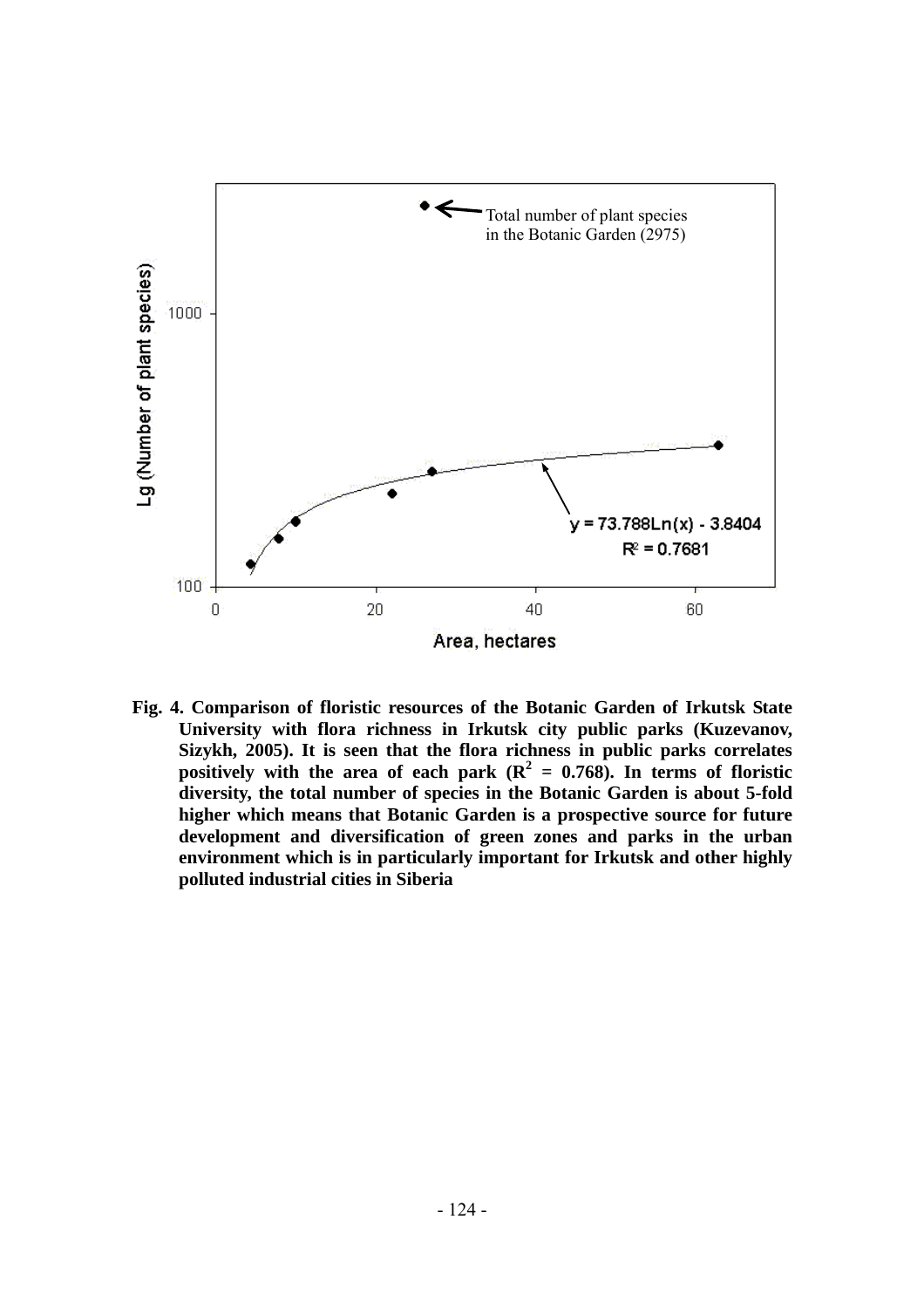

**Fig. 4. Comparison of floristic resources of the Botanic Garden of Irkutsk State University with flora richness in Irkutsk city public parks (Kuzevanov, Sizykh, 2005). It is seen that the flora richness in public parks correlates** positively with the area of each park  $(R^2 = 0.768)$ . In terms of floristic **diversity, the total number of species in the Botanic Garden is about 5-fold higher which means that Botanic Garden is a prospective source for future development and diversification of green zones and parks in the urban environment which is in particularly important for Irkutsk and other highly polluted industrial cities in Siberia**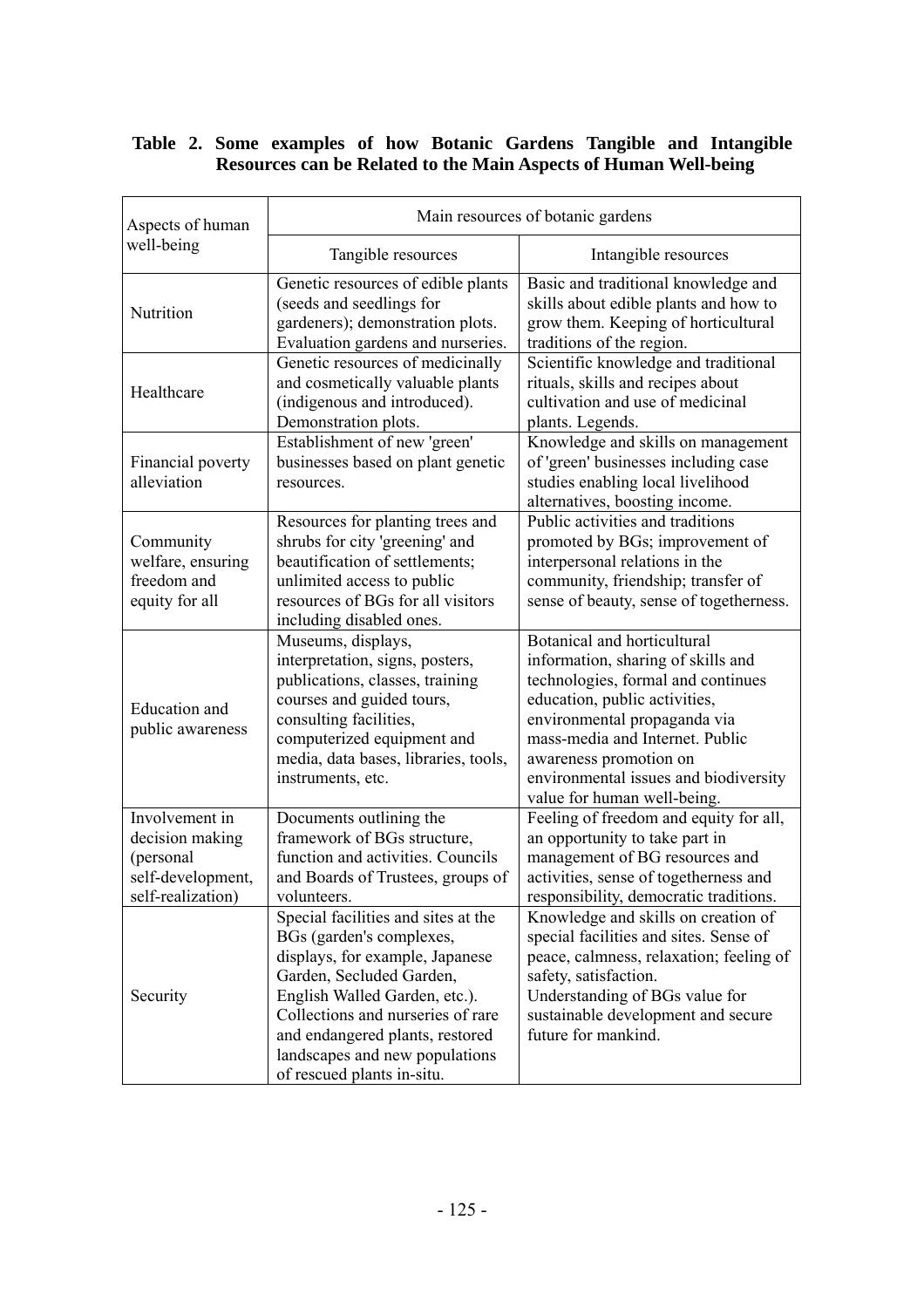## **Table 2. Some examples of how Botanic Gardens Tangible and Intangible Resources can be Related to the Main Aspects of Human Well-being**

| Aspects of human                                                                         | Main resources of botanic gardens                                                                                                                                                                                                                                                                       |                                                                                                                                                                                                                                                                                                               |  |
|------------------------------------------------------------------------------------------|---------------------------------------------------------------------------------------------------------------------------------------------------------------------------------------------------------------------------------------------------------------------------------------------------------|---------------------------------------------------------------------------------------------------------------------------------------------------------------------------------------------------------------------------------------------------------------------------------------------------------------|--|
| well-being                                                                               | Tangible resources                                                                                                                                                                                                                                                                                      | Intangible resources                                                                                                                                                                                                                                                                                          |  |
| Nutrition                                                                                | Genetic resources of edible plants<br>(seeds and seedlings for<br>gardeners); demonstration plots.<br>Evaluation gardens and nurseries.                                                                                                                                                                 | Basic and traditional knowledge and<br>skills about edible plants and how to<br>grow them. Keeping of horticultural<br>traditions of the region.                                                                                                                                                              |  |
| Healthcare                                                                               | Genetic resources of medicinally<br>and cosmetically valuable plants<br>(indigenous and introduced).<br>Demonstration plots.                                                                                                                                                                            | Scientific knowledge and traditional<br>rituals, skills and recipes about<br>cultivation and use of medicinal<br>plants. Legends.                                                                                                                                                                             |  |
| Financial poverty<br>alleviation                                                         | Establishment of new 'green'<br>businesses based on plant genetic<br>resources.                                                                                                                                                                                                                         | Knowledge and skills on management<br>of 'green' businesses including case<br>studies enabling local livelihood<br>alternatives, boosting income.                                                                                                                                                             |  |
| Community<br>welfare, ensuring<br>freedom and<br>equity for all                          | Resources for planting trees and<br>shrubs for city 'greening' and<br>beautification of settlements;<br>unlimited access to public<br>resources of BGs for all visitors<br>including disabled ones.                                                                                                     | Public activities and traditions<br>promoted by BGs; improvement of<br>interpersonal relations in the<br>community, friendship; transfer of<br>sense of beauty, sense of togetherness.                                                                                                                        |  |
| <b>Education</b> and<br>public awareness                                                 | Museums, displays,<br>interpretation, signs, posters,<br>publications, classes, training<br>courses and guided tours,<br>consulting facilities,<br>computerized equipment and<br>media, data bases, libraries, tools,<br>instruments, etc.                                                              | Botanical and horticultural<br>information, sharing of skills and<br>technologies, formal and continues<br>education, public activities,<br>environmental propaganda via<br>mass-media and Internet. Public<br>awareness promotion on<br>environmental issues and biodiversity<br>value for human well-being. |  |
| Involvement in<br>decision making<br>(personal<br>self-development,<br>self-realization) | Documents outlining the<br>framework of BGs structure,<br>function and activities. Councils<br>and Boards of Trustees, groups of<br>volunteers.                                                                                                                                                         | Feeling of freedom and equity for all,<br>an opportunity to take part in<br>management of BG resources and<br>activities, sense of togetherness and<br>responsibility, democratic traditions.                                                                                                                 |  |
| Security                                                                                 | Special facilities and sites at the<br>BGs (garden's complexes,<br>displays, for example, Japanese<br>Garden, Secluded Garden,<br>English Walled Garden, etc.).<br>Collections and nurseries of rare<br>and endangered plants, restored<br>landscapes and new populations<br>of rescued plants in-situ. | Knowledge and skills on creation of<br>special facilities and sites. Sense of<br>peace, calmness, relaxation; feeling of<br>safety, satisfaction.<br>Understanding of BGs value for<br>sustainable development and secure<br>future for mankind.                                                              |  |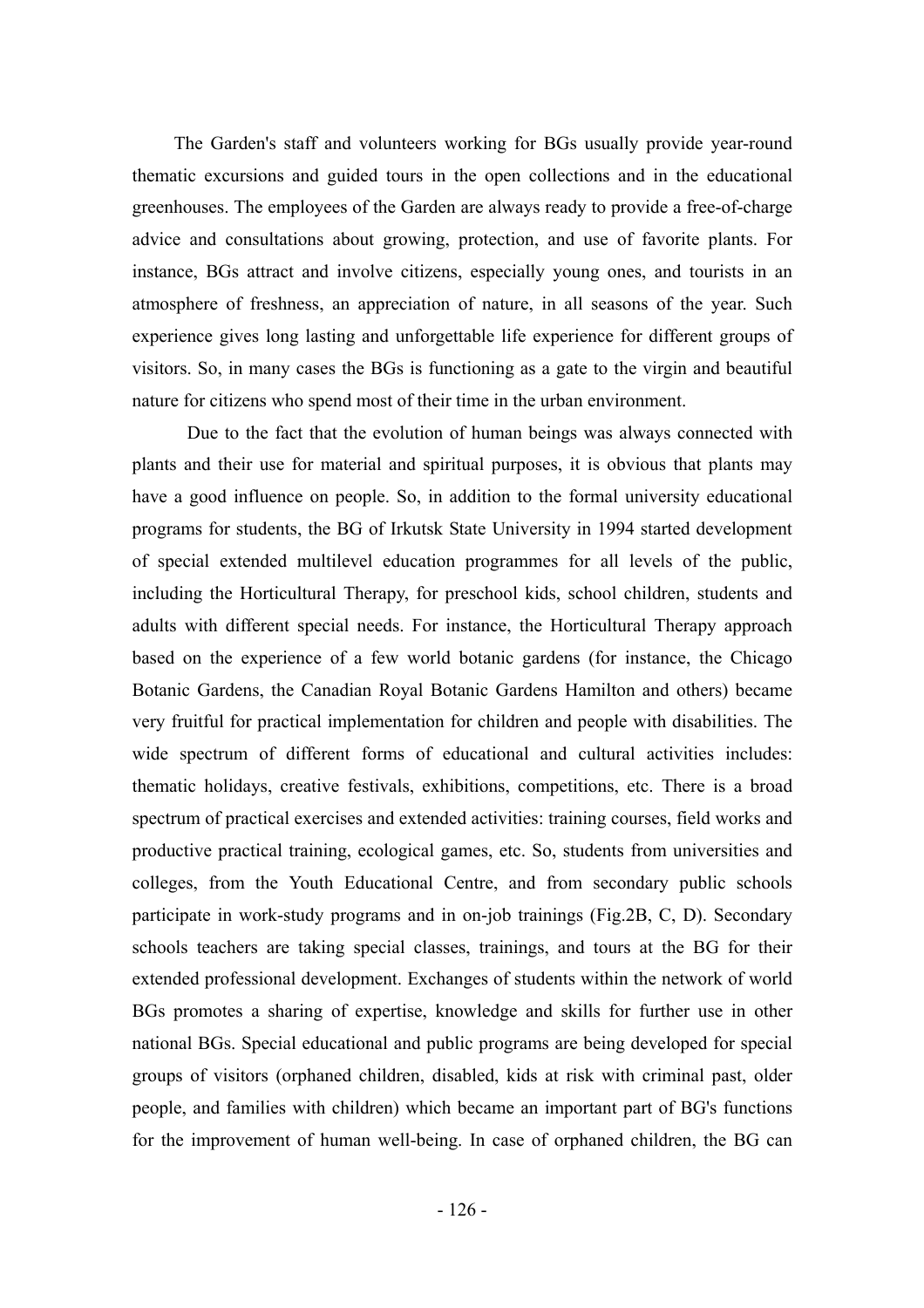The Garden's staff and volunteers working for BGs usually provide year-round thematic excursions and guided tours in the open collections and in the educational greenhouses. The employees of the Garden are always ready to provide a free-of-charge advice and consultations about growing, protection, and use of favorite plants. For instance, BGs attract and involve citizens, especially young ones, and tourists in an atmosphere of freshness, an appreciation of nature, in all seasons of the year. Such experience gives long lasting and unforgettable life experience for different groups of visitors. So, in many cases the BGs is functioning as a gate to the virgin and beautiful nature for citizens who spend most of their time in the urban environment.

Due to the fact that the evolution of human beings was always connected with plants and their use for material and spiritual purposes, it is obvious that plants may have a good influence on people. So, in addition to the formal university educational programs for students, the BG of Irkutsk State University in 1994 started development of special extended multilevel education programmes for all levels of the public, including the Horticultural Therapy, for preschool kids, school children, students and adults with different special needs. For instance, the Horticultural Therapy approach based on the experience of a few world botanic gardens (for instance, the Chicago Botanic Gardens, the Canadian Royal Botanic Gardens Hamilton and others) became very fruitful for practical implementation for children and people with disabilities. The wide spectrum of different forms of educational and cultural activities includes: thematic holidays, creative festivals, exhibitions, competitions, etc. There is a broad spectrum of practical exercises and extended activities: training courses, field works and productive practical training, ecological games, etc. So, students from universities and colleges, from the Youth Educational Centre, and from secondary public schools participate in work-study programs and in on-job trainings (Fig.2B, C, D). Secondary schools teachers are taking special classes, trainings, and tours at the BG for their extended professional development. Exchanges of students within the network of world BGs promotes a sharing of expertise, knowledge and skills for further use in other national BGs. Special educational and public programs are being developed for special groups of visitors (orphaned children, disabled, kids at risk with criminal past, older people, and families with children) which became an important part of BG's functions for the improvement of human well-being. In case of orphaned children, the BG can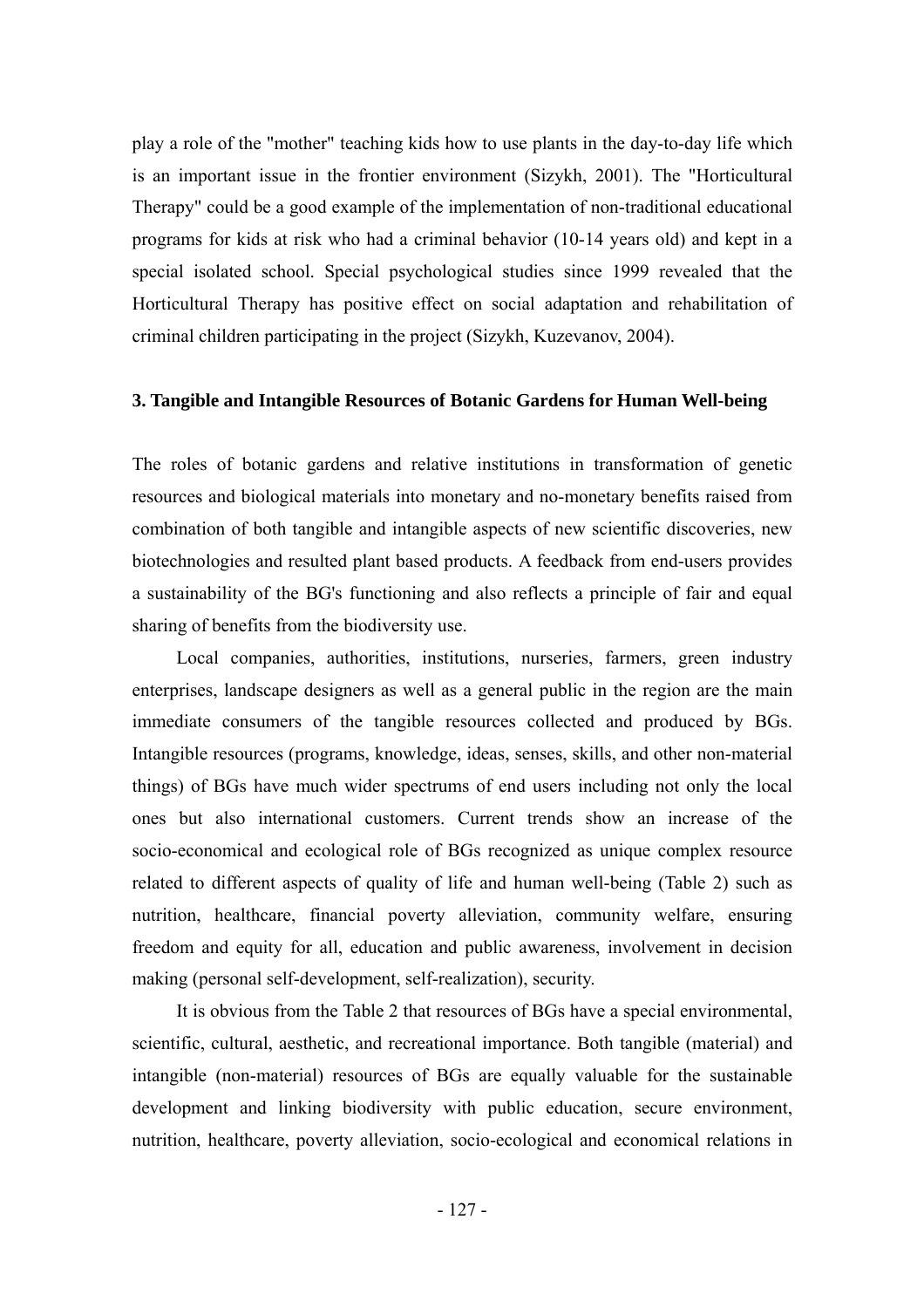play a role of the "mother" teaching kids how to use plants in the day-to-day life which is an important issue in the frontier environment (Sizykh, 2001). The "Horticultural Therapy" could be a good example of the implementation of non-traditional educational programs for kids at risk who had a criminal behavior (10-14 years old) and kept in a special isolated school. Special psychological studies since 1999 revealed that the Horticultural Therapy has positive effect on social adaptation and rehabilitation of criminal children participating in the project (Sizykh, Kuzevanov, 2004).

## **3. Tangible and Intangible Resources of Botanic Gardens for Human Well-being**

The roles of botanic gardens and relative institutions in transformation of genetic resources and biological materials into monetary and no-monetary benefits raised from combination of both tangible and intangible aspects of new scientific discoveries, new biotechnologies and resulted plant based products. A feedback from end-users provides a sustainability of the BG's functioning and also reflects a principle of fair and equal sharing of benefits from the biodiversity use.

Local companies, authorities, institutions, nurseries, farmers, green industry enterprises, landscape designers as well as a general public in the region are the main immediate consumers of the tangible resources collected and produced by BGs. Intangible resources (programs, knowledge, ideas, senses, skills, and other non-material things) of BGs have much wider spectrums of end users including not only the local ones but also international customers. Current trends show an increase of the socio-economical and ecological role of BGs recognized as unique complex resource related to different aspects of quality of life and human well-being (Table 2) such as nutrition, healthcare, financial poverty alleviation, community welfare, ensuring freedom and equity for all, education and public awareness, involvement in decision making (personal self-development, self-realization), security.

It is obvious from the Table 2 that resources of BGs have a special environmental, scientific, cultural, aesthetic, and recreational importance. Both tangible (material) and intangible (non-material) resources of BGs are equally valuable for the sustainable development and linking biodiversity with public education, secure environment, nutrition, healthcare, poverty alleviation, socio-ecological and economical relations in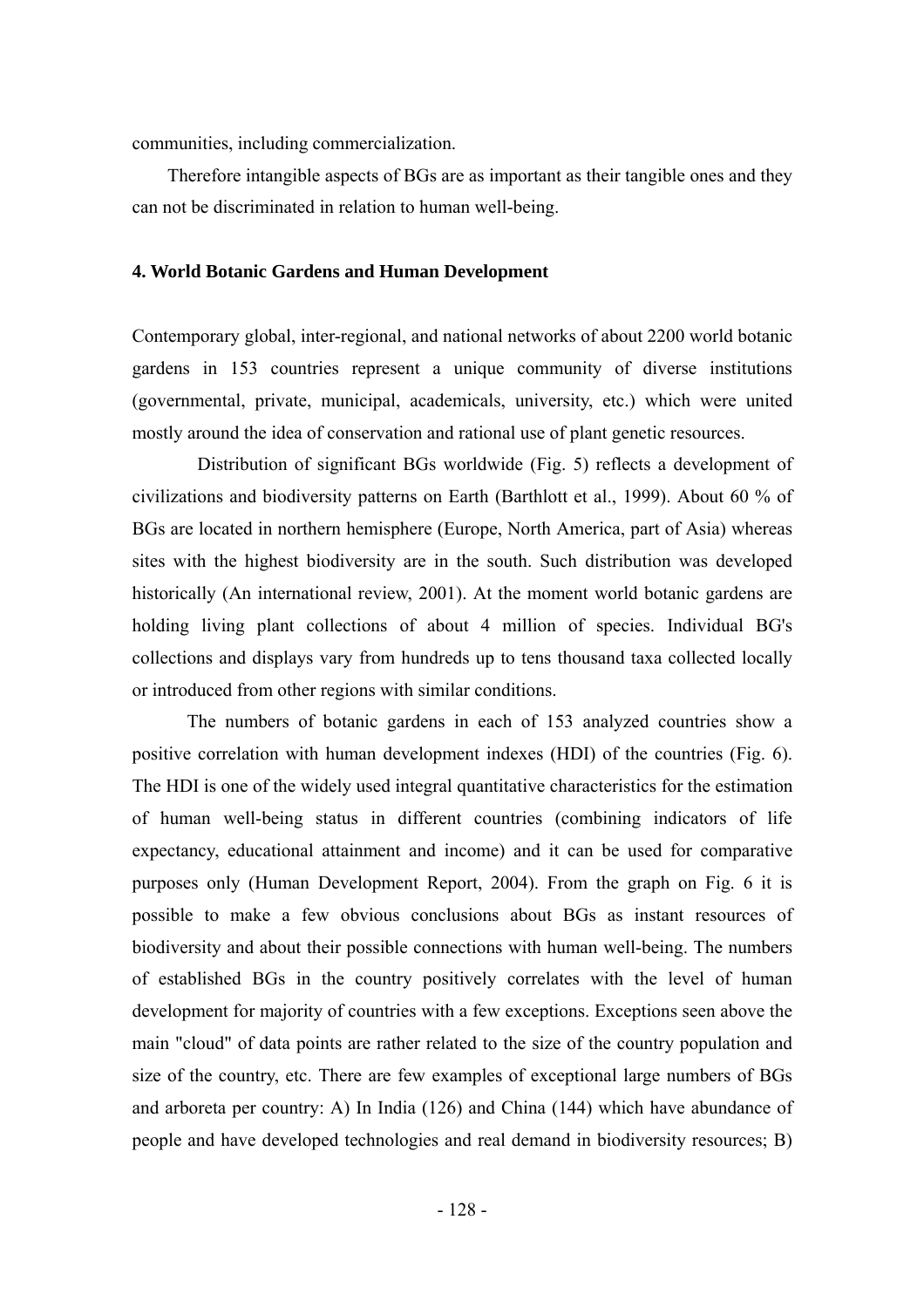communities, including commercialization.

Therefore intangible aspects of BGs are as important as their tangible ones and they can not be discriminated in relation to human well-being.

#### **4. World Botanic Gardens and Human Development**

Contemporary global, inter-regional, and national networks of about 2200 world botanic gardens in 153 countries represent a unique community of diverse institutions (governmental, private, municipal, academicals, university, etc.) which were united mostly around the idea of conservation and rational use of plant genetic resources.

Distribution of significant BGs worldwide (Fig. 5) reflects a development of civilizations and biodiversity patterns on Earth (Barthlott et al., 1999). About 60 % of BGs are located in northern hemisphere (Europe, North America, part of Asia) whereas sites with the highest biodiversity are in the south. Such distribution was developed historically (An international review, 2001). At the moment world botanic gardens are holding living plant collections of about 4 million of species. Individual BG's collections and displays vary from hundreds up to tens thousand taxa collected locally or introduced from other regions with similar conditions.

The numbers of botanic gardens in each of 153 analyzed countries show a positive correlation with human development indexes (HDI) of the countries (Fig. 6). The HDI is one of the widely used integral quantitative characteristics for the estimation of human well-being status in different countries (combining indicators of life expectancy, educational attainment and income) and it can be used for comparative purposes only (Human Development Report, 2004). From the graph on Fig. 6 it is possible to make a few obvious conclusions about BGs as instant resources of biodiversity and about their possible connections with human well-being. The numbers of established BGs in the country positively correlates with the level of human development for majority of countries with a few exceptions. Exceptions seen above the main "cloud" of data points are rather related to the size of the country population and size of the country, etc. There are few examples of exceptional large numbers of BGs and arboreta per country: A) In India (126) and China (144) which have abundance of people and have developed technologies and real demand in biodiversity resources; B)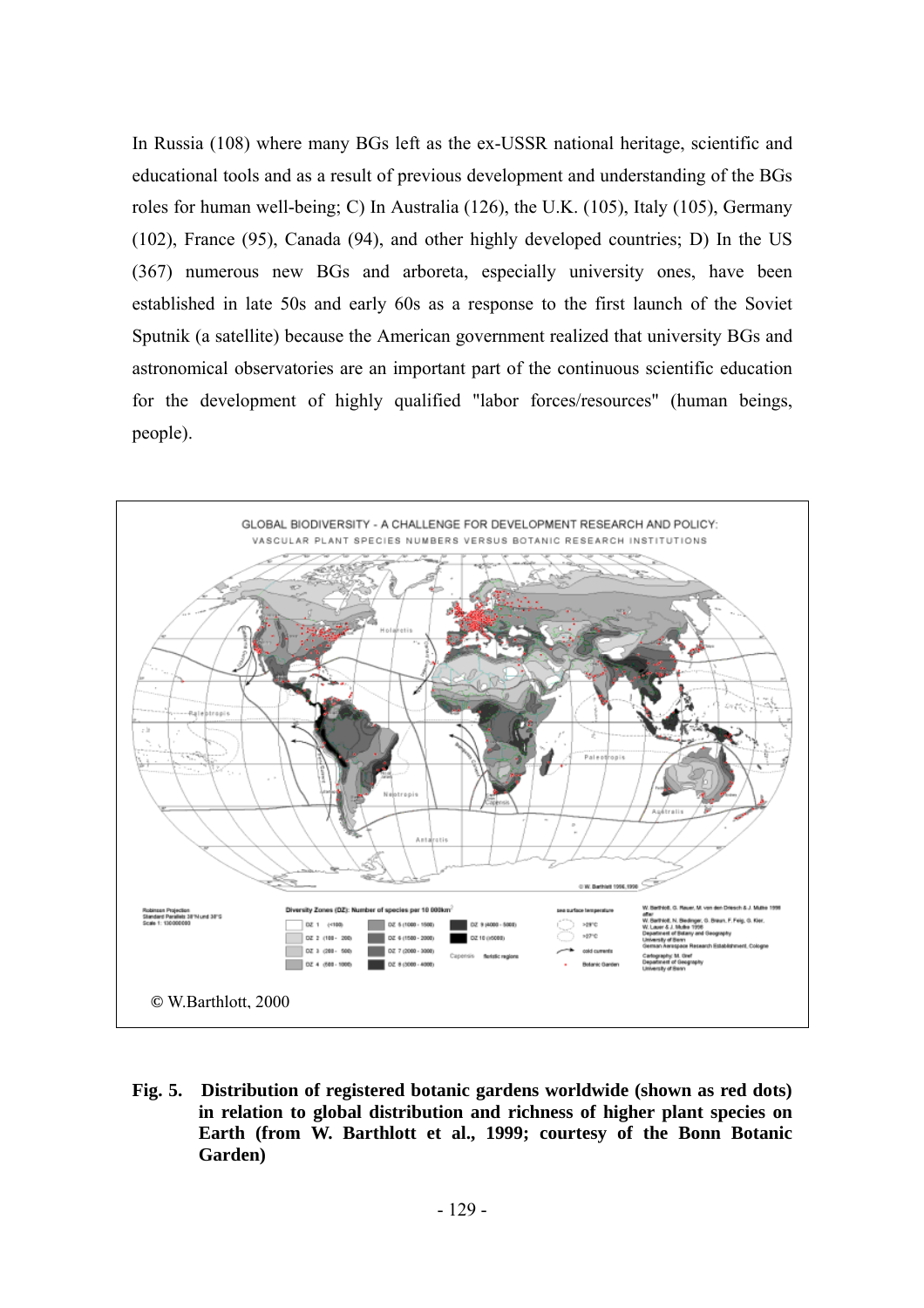In Russia (108) where many BGs left as the ex-USSR national heritage, scientific and educational tools and as a result of previous development and understanding of the BGs roles for human well-being; C) In Australia (126), the U.K. (105), Italy (105), Germany (102), France (95), Canada (94), and other highly developed countries; D) In the US (367) numerous new BGs and arboreta, especially university ones, have been established in late 50s and early 60s as a response to the first launch of the Soviet Sputnik (a satellite) because the American government realized that university BGs and astronomical observatories are an important part of the continuous scientific education for the development of highly qualified "labor forces/resources" (human beings, people).



**Fig. 5. Distribution of registered botanic gardens worldwide (shown as red dots) in relation to global distribution and richness of higher plant species on Earth (from W. Barthlott et al., 1999; courtesy of the Bonn Botanic Garden)**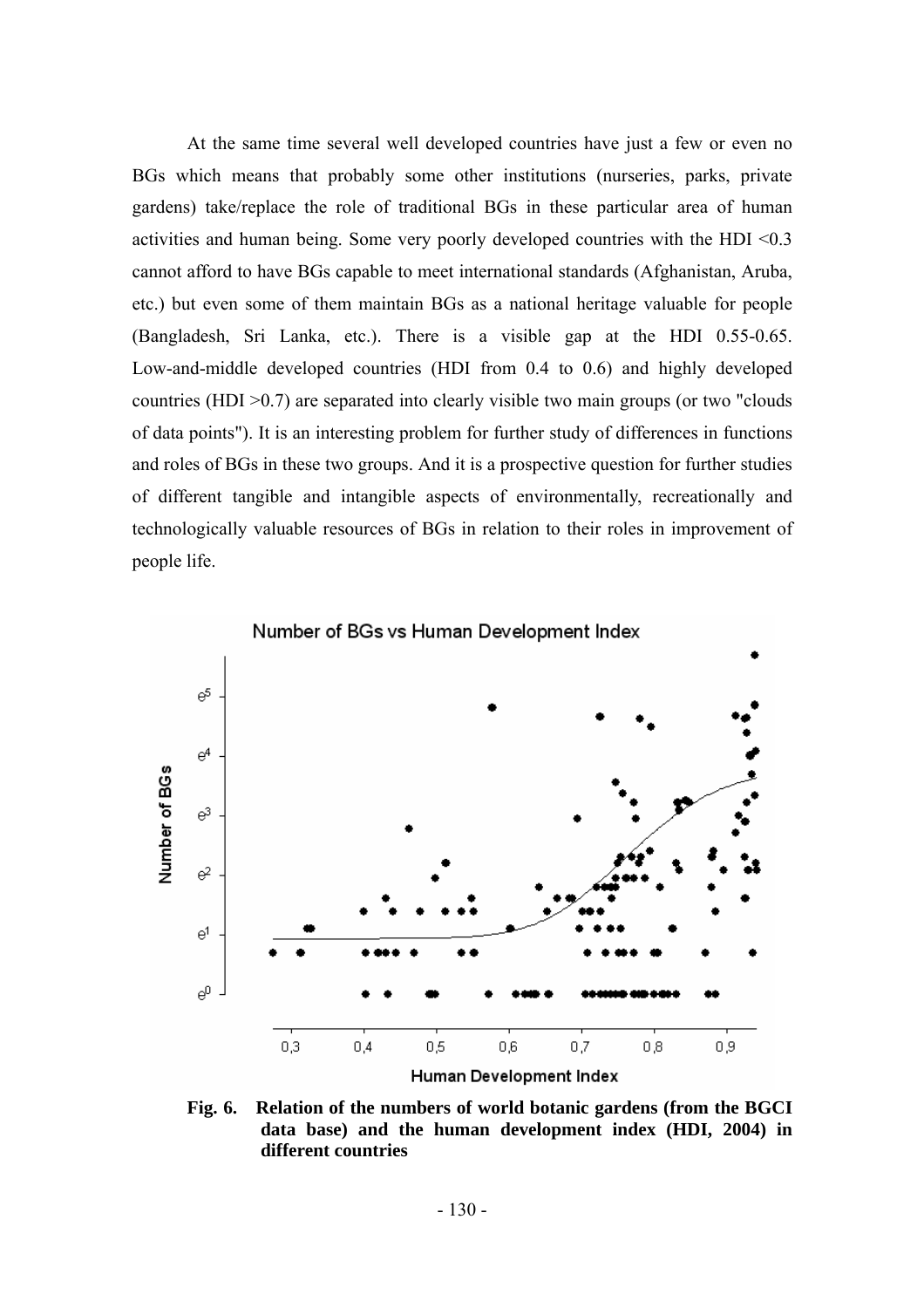At the same time several well developed countries have just a few or even no BGs which means that probably some other institutions (nurseries, parks, private gardens) take/replace the role of traditional BGs in these particular area of human activities and human being. Some very poorly developed countries with the HDI <0.3 cannot afford to have BGs capable to meet international standards (Afghanistan, Aruba, etc.) but even some of them maintain BGs as a national heritage valuable for people (Bangladesh, Sri Lanka, etc.). There is a visible gap at the HDI 0.55-0.65. Low-and-middle developed countries (HDI from 0.4 to 0.6) and highly developed countries (HDI >0.7) are separated into clearly visible two main groups (or two "clouds of data points"). It is an interesting problem for further study of differences in functions and roles of BGs in these two groups. And it is a prospective question for further studies of different tangible and intangible aspects of environmentally, recreationally and technologically valuable resources of BGs in relation to their roles in improvement of people life.



**Fig. 6. Relation of the numbers of world botanic gardens (from the BGCI data base) and the human development index (HDI, 2004) in different countries**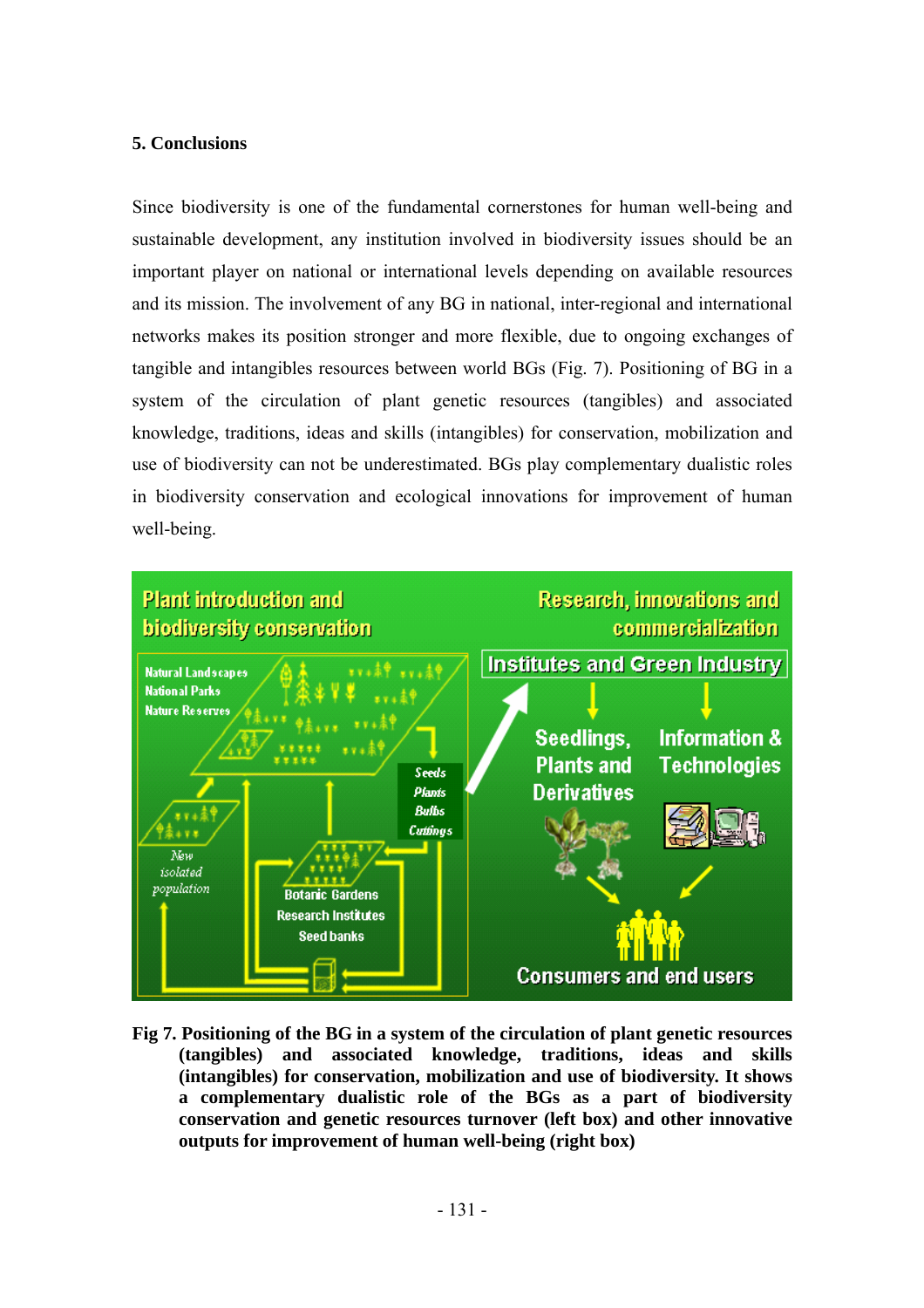## **5. Conclusions**

Since biodiversity is one of the fundamental cornerstones for human well-being and sustainable development, any institution involved in biodiversity issues should be an important player on national or international levels depending on available resources and its mission. The involvement of any BG in national, inter-regional and international networks makes its position stronger and more flexible, due to ongoing exchanges of tangible and intangibles resources between world BGs (Fig. 7). Positioning of BG in a system of the circulation of plant genetic resources (tangibles) and associated knowledge, traditions, ideas and skills (intangibles) for conservation, mobilization and use of biodiversity can not be underestimated. BGs play complementary dualistic roles in biodiversity conservation and ecological innovations for improvement of human well-being.



**Fig 7. Positioning of the BG in a system of the circulation of plant genetic resources (tangibles) and associated knowledge, traditions, ideas and skills (intangibles) for conservation, mobilization and use of biodiversity. It shows a complementary dualistic role of the BGs as a part of biodiversity conservation and genetic resources turnover (left box) and other innovative outputs for improvement of human well-being (right box)**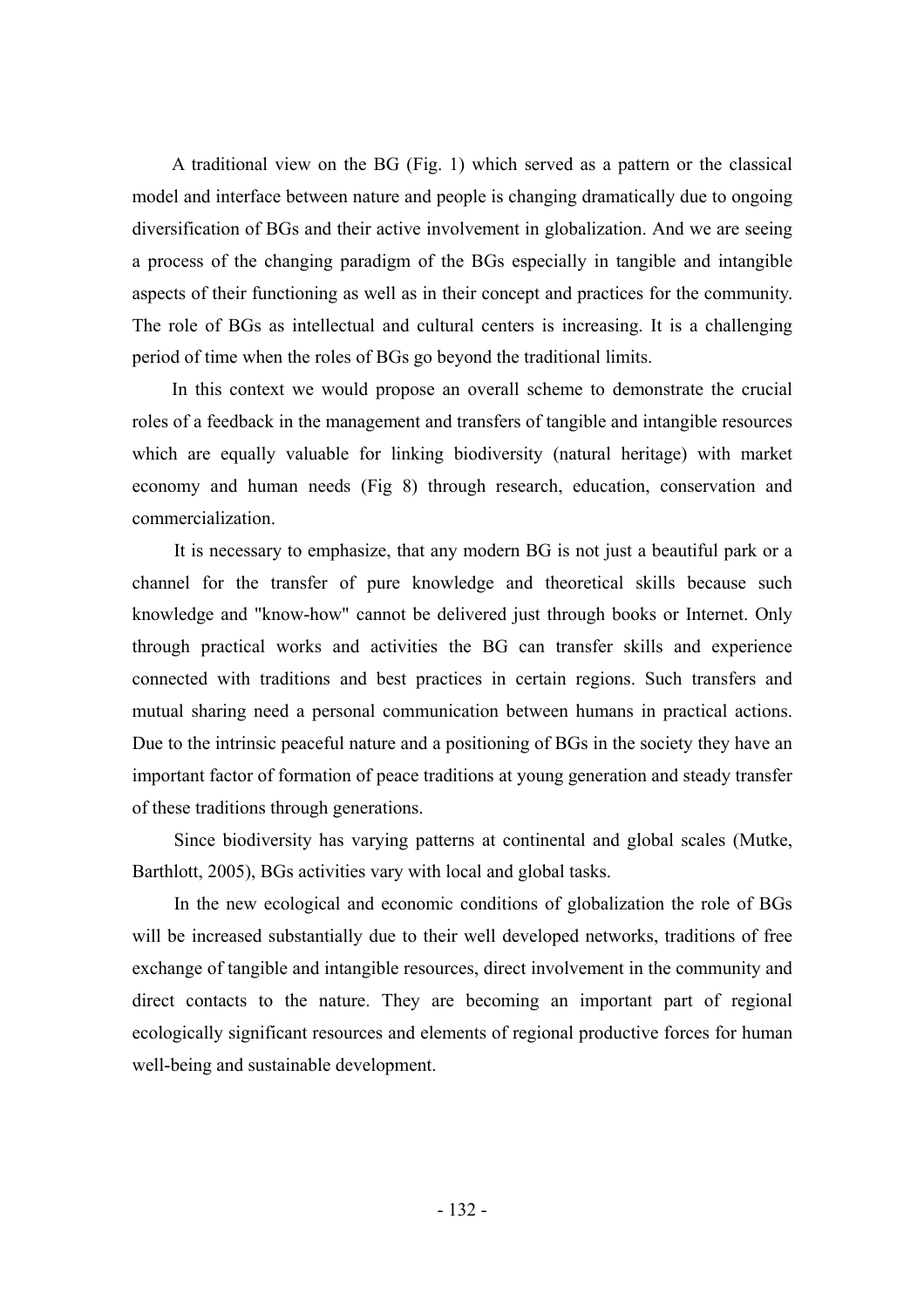A traditional view on the BG (Fig. 1) which served as a pattern or the classical model and interface between nature and people is changing dramatically due to ongoing diversification of BGs and their active involvement in globalization. And we are seeing a process of the changing paradigm of the BGs especially in tangible and intangible aspects of their functioning as well as in their concept and practices for the community. The role of BGs as intellectual and cultural centers is increasing. It is a challenging period of time when the roles of BGs go beyond the traditional limits.

In this context we would propose an overall scheme to demonstrate the crucial roles of a feedback in the management and transfers of tangible and intangible resources which are equally valuable for linking biodiversity (natural heritage) with market economy and human needs (Fig 8) through research, education, conservation and commercialization.

It is necessary to emphasize, that any modern BG is not just a beautiful park or a channel for the transfer of pure knowledge and theoretical skills because such knowledge and "know-how" cannot be delivered just through books or Internet. Only through practical works and activities the BG can transfer skills and experience connected with traditions and best practices in certain regions. Such transfers and mutual sharing need a personal communication between humans in practical actions. Due to the intrinsic peaceful nature and a positioning of BGs in the society they have an important factor of formation of peace traditions at young generation and steady transfer of these traditions through generations.

Since biodiversity has varying patterns at continental and global scales (Mutke, Barthlott, 2005), BGs activities vary with local and global tasks.

In the new ecological and economic conditions of globalization the role of BGs will be increased substantially due to their well developed networks, traditions of free exchange of tangible and intangible resources, direct involvement in the community and direct contacts to the nature. They are becoming an important part of regional ecologically significant resources and elements of regional productive forces for human well-being and sustainable development.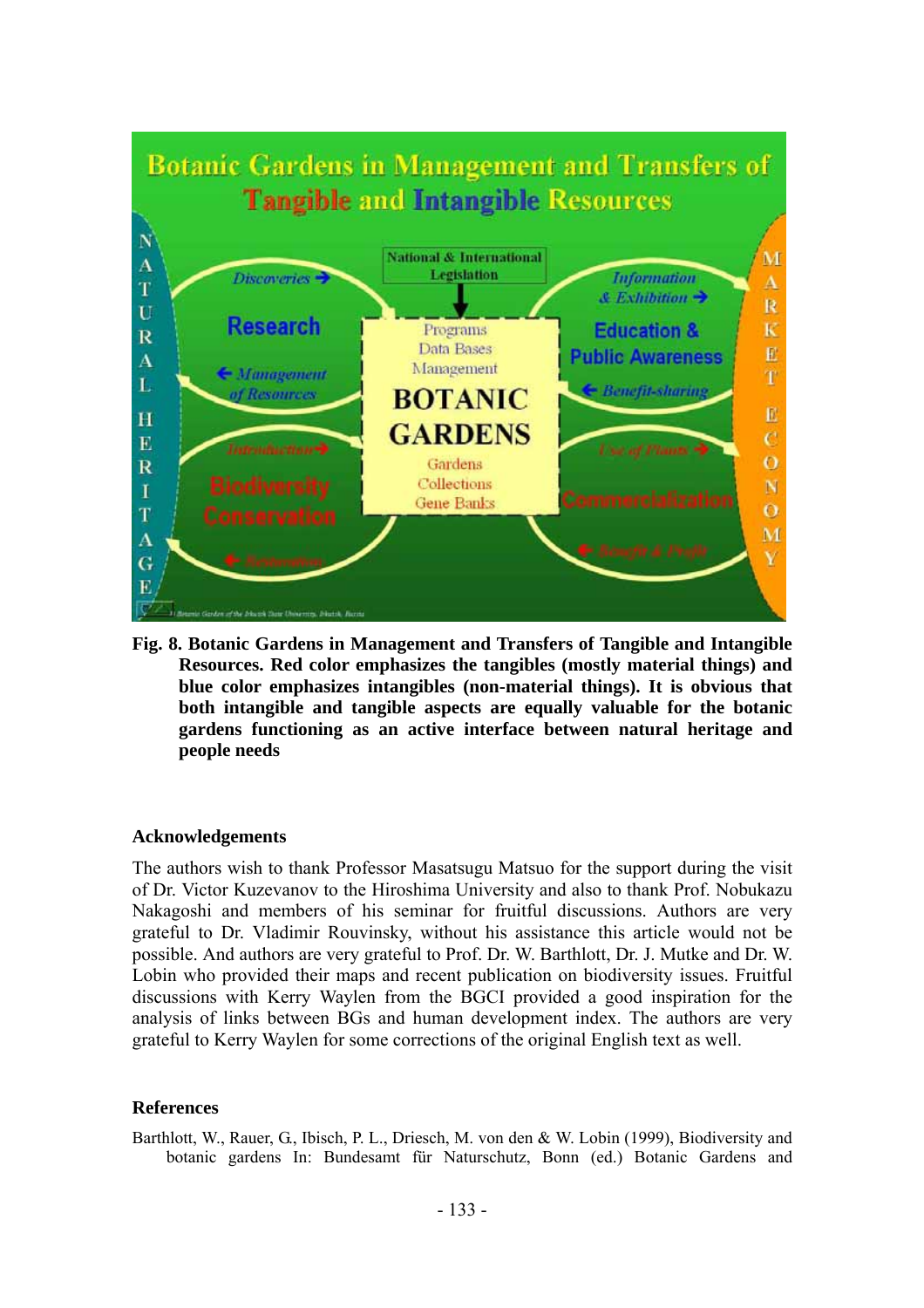

**Fig. 8. Botanic Gardens in Management and Transfers of Tangible and Intangible Resources. Red color emphasizes the tangibles (mostly material things) and blue color emphasizes intangibles (non-material things). It is obvious that both intangible and tangible aspects are equally valuable for the botanic gardens functioning as an active interface between natural heritage and people needs** 

#### **Acknowledgements**

The authors wish to thank Professor Masatsugu Matsuo for the support during the visit of Dr. Victor Kuzevanov to the Hiroshima University and also to thank Prof. Nobukazu Nakagoshi and members of his seminar for fruitful discussions. Authors are very grateful to Dr. Vladimir Rouvinsky, without his assistance this article would not be possible. And authors are very grateful to Prof. Dr. W. Barthlott, Dr. J. Mutke and Dr. W. Lobin who provided their maps and recent publication on biodiversity issues. Fruitful discussions with Kerry Waylen from the BGCI provided a good inspiration for the analysis of links between BGs and human development index. The authors are very grateful to Kerry Waylen for some corrections of the original English text as well.

### **References**

Barthlott, W., Rauer, G., Ibisch, P. L., Driesch, M. von den & W. Lobin (1999), Biodiversity and botanic gardens In: Bundesamt für Naturschutz, Bonn (ed.) Botanic Gardens and